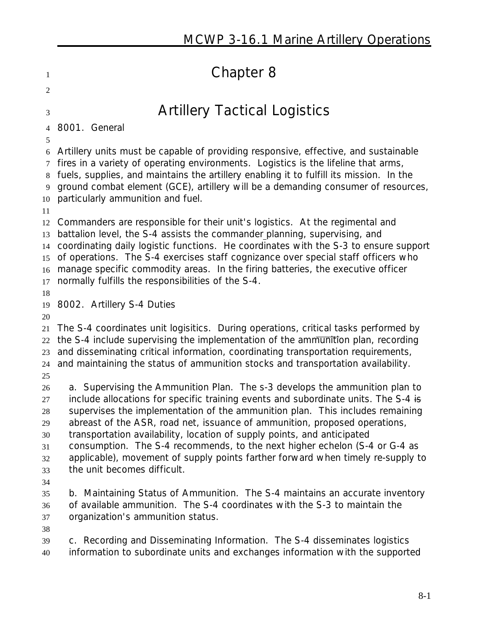# **Chapter 8 Artillery Tactical Logistics 8001. General** Artillery units must be capable of providing responsive, effective, and sustainable fires in a variety of operating environments. Logistics is the lifeline that arms, fuels, supplies, and maintains the artillery enabling it to fulfill its mission. In the ground combat element (GCE), artillery will be a demanding consumer of resources, particularly ammunition and fuel. Commanders are responsible for their unit's logistics. At the regimental and battalion level, the S-4 assists the commander planning, supervising, and coordinating daily logistic functions. He coordinates with the S-3 to ensure support of operations. The S-4 exercises staff cognizance over special staff officers who manage specific commodity areas. In the firing batteries, the executive officer normally fulfills the responsibilities of the S-4. **8002. Artillery S-4 Duties** The S-4 coordinates unit logisitics. During operations, critical tasks performed by the S-4 include supervising the implementation of the ammunition plan, recording 27 include allocations for specific training events and subordinate units. The S-4 is applicable), movement of supply points farther forward when timely re-supply to

 and disseminating critical information, coordinating transportation requirements, and maintaining the status of ammunition stocks and transportation availability. **a. Supervising the Ammunition Plan.** The s-3 develops the ammunition plan to

 supervises the implementation of the ammunition plan. This includes remaining abreast of the ASR, road net, issuance of ammunition, proposed operations,

transportation availability, location of supply points, and anticipated

consumption. The S-4 recommends, to the next higher echelon (S-4 or G-4 as

- the unit becomes difficult.
- 

 **b. Maintaining Status of Ammunition.** The S-4 maintains an accurate inventory of available ammunition. The S-4 coordinates with the S-3 to maintain the organization's ammunition status.

 **c. Recording and Disseminating Information.** The S-4 disseminates logistics information to subordinate units and exchanges information with the supported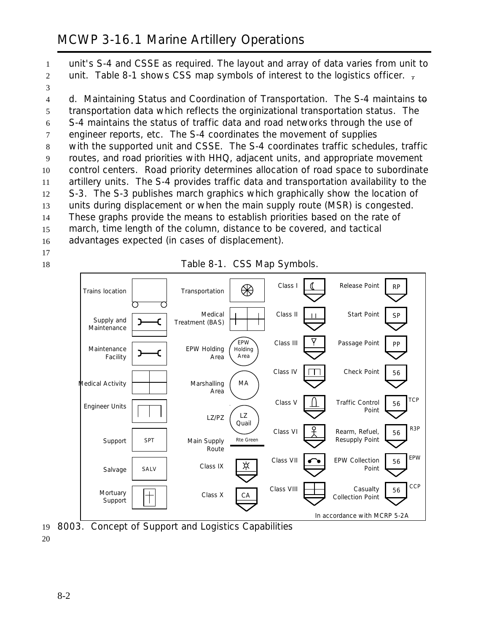unit's S-4 and CSSE as required. The layout and array of data varies from unit to 2 unit. Table 8-1 shows CSS map symbols of interest to the logistics officer.  $\frac{1}{2}$ 3 **d. Maintaining Status and Coordination of Transportation.** The S-4 maintains to transportation data which reflects the orginizational transportation status. The S-4 maintains the status of traffic data and road networks through the use of engineer reports, etc. The S-4 coordinates the movement of supplies with the supported unit and CSSE. The S-4 coordinates traffic schedules, traffic routes, and road priorities with HHQ, adjacent units, and appropriate movement control centers. Road priority determines allocation of road space to subordinate artillery units. The S-4 provides traffic data and transportation availability to the S-3. The S-3 publishes march graphics which graphically show the location of units during displacement or when the main supply route (MSR) is congested. These graphs provide the means to establish priorities based on the rate of march, time length of the column, distance to be covered, and tactical advantages expected (in cases of displacement).





18 **Table 8-1. CSS Map Symbols.**

19 **8003. Concept of Support and Logistics Capabilities**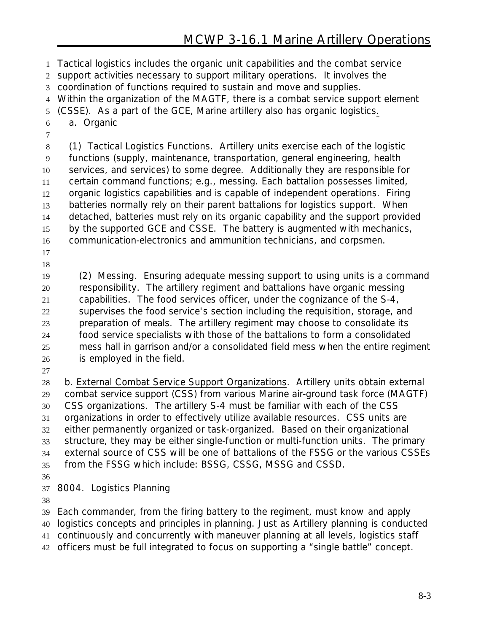Tactical logistics includes the organic unit capabilities and the combat service support activities necessary to support military operations. It involves the coordination of functions required to sustain and move and supplies. Within the organization of the MAGTF, there is a combat service support element (CSSE). As a part of the GCE, Marine artillery also has organic logistics. **a. Organic (1) Tactical Logistics Functions.** Artillery units exercise each of the logistic functions (supply, maintenance, transportation, general engineering, health services, and services) to some degree. Additionally they are responsible for certain command functions; e.g., messing. Each battalion possesses limited, organic logistics capabilities and is capable of independent operations. Firing batteries normally rely on their parent battalions for logistics support. When detached, batteries must rely on its organic capability and the support provided 15 by the supported GCE and CSSE. The battery is augmented with mechanics, communication-electronics and ammunition technicians, and corpsmen. **(2) Messing.** Ensuring adequate messing support to using units is a command responsibility. The artillery regiment and battalions have organic messing capabilities. The food services officer, under the cognizance of the S-4, supervises the food service's section including the requisition, storage, and preparation of meals. The artillery regiment may choose to consolidate its food service specialists with those of the battalions to form a consolidated mess hall in garrison and/or a consolidated field mess when the entire regiment is employed in the field. **b. External Combat Service Support Organizations.** Artillery units obtain external combat service support (CSS) from various Marine air-ground task force (MAGTF)

 CSS organizations. The artillery S-4 must be familiar with each of the CSS organizations in order to effectively utilize available resources. CSS units are either permanently organized or task-organized. Based on their organizational structure, they may be either single-function or multi-function units. The primary external source of CSS will be one of battalions of the FSSG or the various CSSEs from the FSSG which include: BSSG, CSSG, MSSG and CSSD. 

#### **8004. Logistics Planning**

Each commander, from the firing battery to the regiment, must know and apply

logistics concepts and principles in planning. Just as Artillery planning is conducted

continuously and concurrently with maneuver planning at all levels, logistics staff

officers must be full integrated to focus on supporting a "single battle" concept.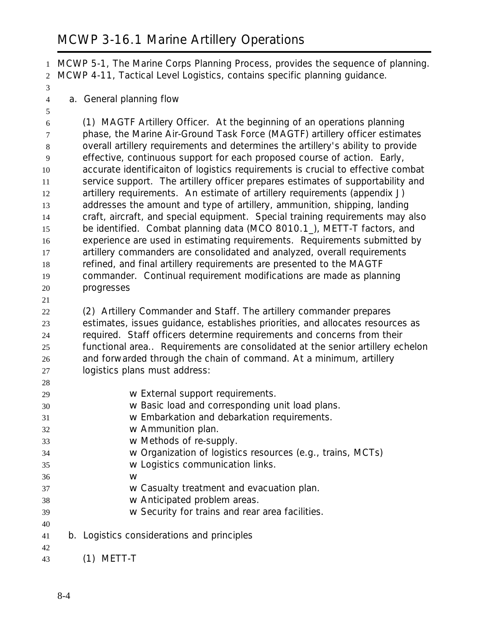MCWP 5-1, *The Marine Corps Planning Process*, provides the sequence of planning. MCWP 4-11, *Tactical Level Logistics,* contains specific planning guidance.

**a. General planning flow**

 **(1) MAGTF Artillery Officer.** At the beginning of an operations planning phase, the Marine Air-Ground Task Force (MAGTF) artillery officer estimates overall artillery requirements and determines the artillery's ability to provide effective, continuous support for each proposed course of action. Early, accurate identificaiton of logistics requirements is crucial to effective combat service support. The artillery officer prepares estimates of supportability and artillery requirements. An estimate of artillery requirements (appendix J) addresses the amount and type of artillery, ammunition, shipping, landing craft, aircraft, and special equipment. Special training requirements may also be identified. Combat planning data (MCO 8010.1\_), METT-T factors, and experience are used in estimating requirements. Requirements submitted by artillery commanders are consolidated and analyzed, overall requirements refined, and final artillery requirements are presented to the MAGTF commander. Continual requirement modifications are made as planning

 progresses 

 **(2) Artillery Commander and Staff.** The artillery commander prepares estimates, issues guidance, establishes priorities, and allocates resources as required. Staff officers determine requirements and concerns from their functional area.. Requirements are consolidated at the senior artillery echelon and forwarded through the chain of command. At a minimum, artillery logistics plans must address:

- 
- w External support requirements.
- w Basic load and corresponding unit load plans.
- w Embarkation and debarkation requirements.
- w Ammunition plan.
- w Methods of re-supply.
- w Organization of logistics resources (e.g., trains, MCTs)
- w Logistics communication links.
- w
- w Casualty treatment and evacuation plan.
- w Anticipated problem areas.
- w Security for trains and rear area facilities.
- 

**b. Logistics considerations and principles**

**(1) METT-T**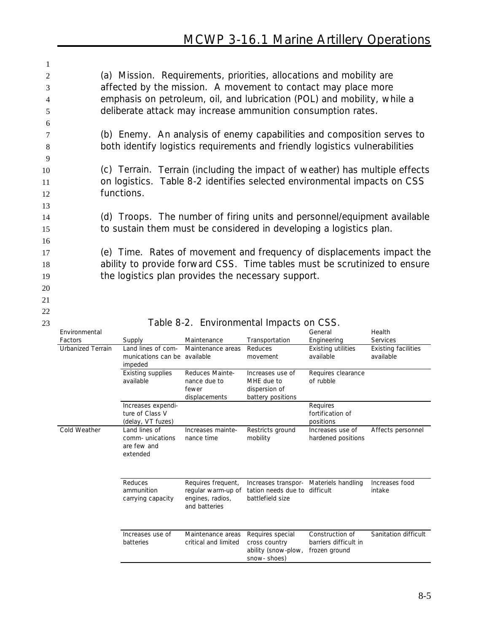| 1                   |                                                                             |
|---------------------|-----------------------------------------------------------------------------|
| 2                   | (a) Mission. Requirements, priorities, allocations and mobility are         |
| 3                   | affected by the mission. A movement to contact may place more               |
| 4                   | emphasis on petroleum, oil, and lubrication (POL) and mobility, while a     |
| 5                   | deliberate attack may increase ammunition consumption rates.                |
| 6                   |                                                                             |
| 7                   | (b) Enemy. An analysis of enemy capabilities and composition serves to      |
| 8                   | both identify logistics requirements and friendly logistics vulnerabilities |
| 9                   |                                                                             |
| 10                  | (c) Terrain. Terrain (including the impact of weather) has multiple effects |
| 11                  | on logistics. Table 8-2 identifies selected environmental impacts on CSS    |
| 12                  | functions.                                                                  |
| 13                  |                                                                             |
| 14                  | (d) Troops. The number of firing units and personnel/equipment available    |
| 15                  | to sustain them must be considered in developing a logistics plan.          |
| 16                  |                                                                             |
| 17                  | (e) Time. Rates of movement and frequency of displacements impact the       |
| 18                  | ability to provide forward CSS. Time tables must be scrutinized to ensure   |
| 19                  | the logistics plan provides the necessary support.                          |
| 20                  |                                                                             |
| 21                  |                                                                             |
| $22\,$              |                                                                             |
| 23<br>Environmontal | Table 8-2. Environmental Impacts on CSS.<br>$L$ oolth<br>Conoral            |

| Environmental            |                                                               |                                                                               |                                                                         | General                                                   | Health                                  |
|--------------------------|---------------------------------------------------------------|-------------------------------------------------------------------------------|-------------------------------------------------------------------------|-----------------------------------------------------------|-----------------------------------------|
| <b>Factors</b>           | Supply                                                        | Maintenance                                                                   | Transportation                                                          | Engineering                                               | <b>Services</b>                         |
| <b>Urbanized Terrain</b> | Land lines of com-<br>munications can be available<br>impeded | Maintenance areas                                                             | Reduces<br>movement                                                     | <b>Existing utilities</b><br>available                    | <b>Existing facilities</b><br>available |
|                          | Existing supplies<br>available                                | <b>Reduces Mainte-</b><br>nance due to<br>fewer<br>displacements              | Increases use of<br>MHE due to<br>dispersion of<br>battery positions    | Requires clearance<br>of rubble                           |                                         |
|                          | Increases expendi-<br>ture of Class V<br>(delay, VT fuzes)    |                                                                               |                                                                         | Requires<br>fortification of<br>positions                 |                                         |
| Cold Weather             | Land lines of<br>comm-unications<br>are few and<br>extended   | Increases mainte-<br>nance time                                               | Restricts ground<br>mobility                                            | Increases use of<br>hardened positions                    | Affects personnel                       |
|                          | Reduces<br>ammunition<br>carrying capacity                    | Requires frequent,<br>regular warm-up of<br>engines, radios,<br>and batteries | Increases transpor-<br>tation needs due to<br>battlefield size          | Materiels handling<br>difficult                           | Increases food<br>intake                |
|                          | Increases use of<br>batteries                                 | Maintenance areas<br>critical and limited                                     | Requires special<br>cross country<br>ability (snow-plow,<br>snow-shoes) | Construction of<br>barriers difficult in<br>frozen ground | Sanitation difficult                    |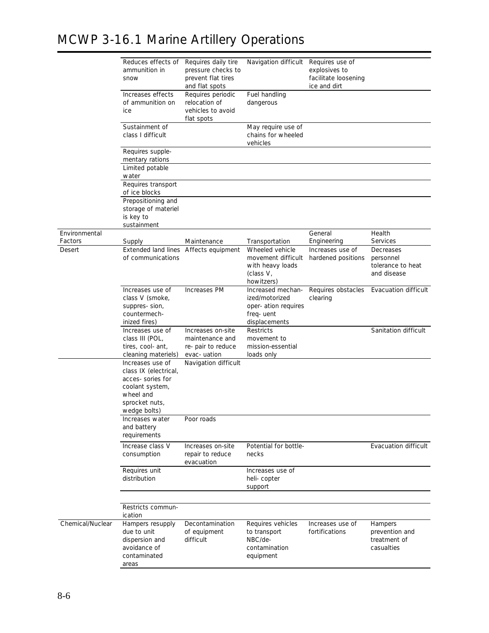|                   | Reduces effects of<br>ammunition in<br>snow                                                                                      | Requires daily tire<br>pressure checks to<br>prevent flat tires<br>and flat spots | Navigation difficult Requires use of                                                      | explosives to<br>facilitate loosening<br>ice and dirt |                                                         |
|-------------------|----------------------------------------------------------------------------------------------------------------------------------|-----------------------------------------------------------------------------------|-------------------------------------------------------------------------------------------|-------------------------------------------------------|---------------------------------------------------------|
|                   | Increases effects<br>of ammunition on<br>ice                                                                                     | Requires periodic<br>relocation of<br>vehicles to avoid<br>flat spots             | Fuel handling<br>dangerous                                                                |                                                       |                                                         |
|                   | Sustainment of<br>class I difficult                                                                                              |                                                                                   | May require use of<br>chains for wheeled<br>vehicles                                      |                                                       |                                                         |
|                   | Requires supple-<br>mentary rations                                                                                              |                                                                                   |                                                                                           |                                                       |                                                         |
|                   | Limited potable<br>water                                                                                                         |                                                                                   |                                                                                           |                                                       |                                                         |
|                   | Requires transport<br>of ice blocks                                                                                              |                                                                                   |                                                                                           |                                                       |                                                         |
|                   | Prepositioning and<br>storage of materiel<br>is key to<br>sustainment                                                            |                                                                                   |                                                                                           |                                                       |                                                         |
| Environmental     |                                                                                                                                  |                                                                                   |                                                                                           | General                                               | Health                                                  |
| Factors<br>Desert | Supply<br>Extended land lines Affects equipment                                                                                  | Maintenance                                                                       | Transportation<br>Wheeled vehicle                                                         | Engineering<br>Increases use of                       | <b>Services</b><br>Decreases                            |
|                   | of communications                                                                                                                |                                                                                   | movement difficult<br>with heavy loads<br>(class V,<br>howitzers)                         | hardened positions                                    | personnel<br>tolerance to heat<br>and disease           |
|                   | Increases use of<br>class V (smoke,<br>suppres- sion,<br>countermech-<br>inized fires)                                           | <b>Increases PM</b>                                                               | Increased mechan-<br>ized/motorized<br>oper- ation requires<br>freq-uent<br>displacements | Requires obstacles<br>clearing                        | Evacuation difficult                                    |
|                   | Increases use of<br>class III (POL,<br>tires, cool- ant,<br>cleaning materiels)                                                  | Increases on-site<br>maintenance and<br>re- pair to reduce<br>evac-uation         | Restricts<br>movement to<br>mission-essential<br>loads only                               |                                                       | Sanitation difficult                                    |
|                   | Increases use of<br>class IX (electrical,<br>acces- sories for<br>coolant system,<br>wheel and<br>sprocket nuts,<br>wedge bolts) | Navigation difficult                                                              |                                                                                           |                                                       |                                                         |
|                   | Increases water<br>and battery<br>requirements                                                                                   | Poor roads                                                                        |                                                                                           |                                                       |                                                         |
|                   | Increase class V<br>consumption                                                                                                  | Increases on-site<br>repair to reduce<br>evacuation                               | Potential for bottle-<br>necks                                                            |                                                       | Evacuation difficult                                    |
|                   | Requires unit<br>distribution                                                                                                    |                                                                                   | Increases use of<br>heli-copter<br>support                                                |                                                       |                                                         |
|                   | Restricts commun-<br>ication                                                                                                     |                                                                                   |                                                                                           |                                                       |                                                         |
| Chemical/Nuclear  | Hampers resupply<br>due to unit<br>dispersion and<br>avoidance of<br>contaminated<br>areas                                       | Decontamination<br>of equipment<br>difficult                                      | Requires vehicles<br>to transport<br>NBC/de-<br>contamination<br>equipment                | Increases use of<br>fortifications                    | Hampers<br>prevention and<br>treatment of<br>casualties |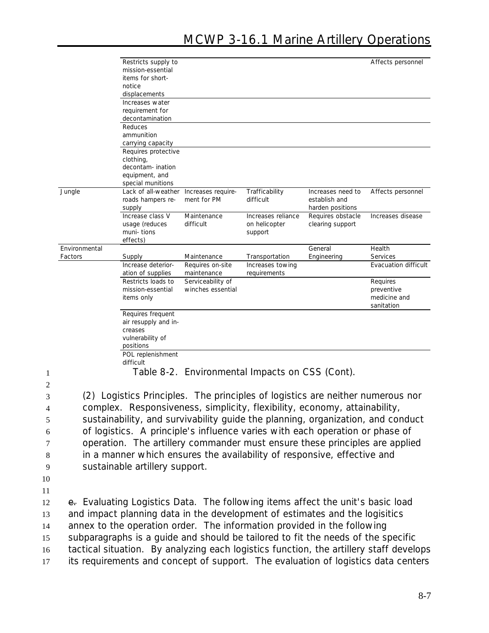|            |               | Restricts supply to<br>mission-essential<br>items for short-<br>notice<br>displacements |                                        |                                                 |                                                        | Affects personnel                                                                      |
|------------|---------------|-----------------------------------------------------------------------------------------|----------------------------------------|-------------------------------------------------|--------------------------------------------------------|----------------------------------------------------------------------------------------|
|            |               | Increases water<br>requirement for<br>decontamination<br>Reduces                        |                                        |                                                 |                                                        |                                                                                        |
|            |               | ammunition                                                                              |                                        |                                                 |                                                        |                                                                                        |
|            |               | carrying capacity<br>Requires protective<br>clothing,                                   |                                        |                                                 |                                                        |                                                                                        |
|            |               | decontam- ination<br>equipment, and<br>special munitions                                |                                        |                                                 |                                                        |                                                                                        |
|            | Jungle        | Lack of all-weather<br>roads hampers re-<br>supply                                      | Increases require-<br>ment for PM      | Trafficability<br>difficult                     | Increases need to<br>establish and<br>harden positions | Affects personnel                                                                      |
|            |               | Increase class V<br>usage (reduces<br>muni-tions<br>effects)                            | Maintenance<br>difficult               | Increases reliance<br>on helicopter<br>support  | Requires obstacle<br>clearing support                  | Increases disease                                                                      |
|            | Environmental |                                                                                         |                                        |                                                 | General                                                | Health                                                                                 |
|            | Factors       | Supply<br>Increase deterior-                                                            | Maintenance<br>Requires on-site        | Transportation<br>Increases towing              | Engineering                                            | <b>Services</b><br>Evacuation difficult                                                |
|            |               | ation of supplies                                                                       | maintenance                            | requirements                                    |                                                        |                                                                                        |
|            |               | Restricts loads to<br>mission-essential<br>items only                                   | Serviceability of<br>winches essential |                                                 |                                                        | Requires<br>preventive<br>medicine and<br>sanitation                                   |
|            |               | Requires frequent<br>air resupply and in-<br>creases<br>vulnerability of<br>positions   |                                        |                                                 |                                                        |                                                                                        |
|            |               | POL replenishment<br>difficult                                                          |                                        |                                                 |                                                        |                                                                                        |
| 1          |               |                                                                                         |                                        | Table 8-2. Environmental Impacts on CSS (Cont). |                                                        |                                                                                        |
| 2          |               |                                                                                         |                                        |                                                 |                                                        |                                                                                        |
| 3          |               | (2) Logistics Principles. The principles of logistics are neither numerous nor          |                                        |                                                 |                                                        |                                                                                        |
| 4          |               | complex. Responsiveness, simplicity, flexibility, economy, attainability,               |                                        |                                                 |                                                        |                                                                                        |
| 5          |               | sustainability, and survivability guide the planning, organization, and conduct         |                                        |                                                 |                                                        |                                                                                        |
| $\sqrt{6}$ |               | of logistics. A principle's influence varies with each operation or phase of            |                                        |                                                 |                                                        |                                                                                        |
| 7          |               | operation. The artillery commander must ensure these principles are applied             |                                        |                                                 |                                                        |                                                                                        |
| $\,8\,$    |               | in a manner which ensures the availability of responsive, effective and                 |                                        |                                                 |                                                        |                                                                                        |
|            |               |                                                                                         |                                        |                                                 |                                                        |                                                                                        |
| 9          |               | sustainable artillery support.                                                          |                                        |                                                 |                                                        |                                                                                        |
| 10         |               |                                                                                         |                                        |                                                 |                                                        |                                                                                        |
| 11         |               |                                                                                         |                                        |                                                 |                                                        |                                                                                        |
| 12         |               | e. Evaluating Logistics Data. The following items affect the unit's basic load          |                                        |                                                 |                                                        |                                                                                        |
| 13         |               | and impact planning data in the development of estimates and the logisitics             |                                        |                                                 |                                                        |                                                                                        |
| 14         |               | annex to the operation order. The information provided in the following                 |                                        |                                                 |                                                        |                                                                                        |
| 15         |               | subparagraphs is a guide and should be tailored to fit the needs of the specific        |                                        |                                                 |                                                        |                                                                                        |
| 16         |               |                                                                                         |                                        |                                                 |                                                        | tactical situation. By analyzing each logistics function, the artillery staff develops |
| 17         |               |                                                                                         |                                        |                                                 |                                                        | its requirements and concept of support. The evaluation of logistics data centers      |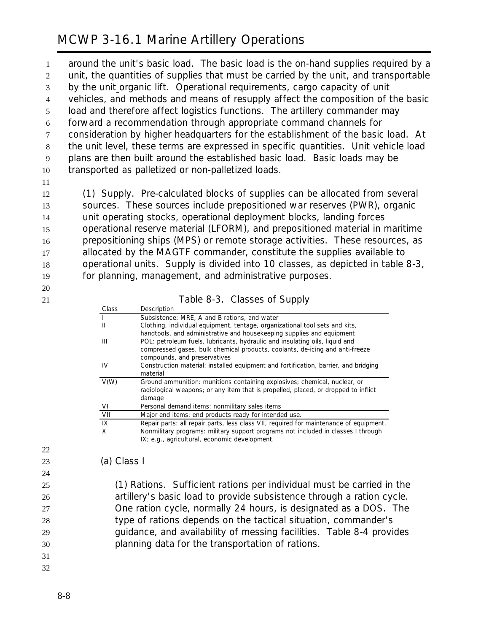around the unit's basic load. The basic load is the on-hand supplies required by a unit, the quantities of supplies that must be carried by the unit, and transportable by the unit organic lift. Operational requirements, cargo capacity of unit vehicles, and methods and means of resupply affect the composition of the basic load and therefore affect logistics functions. The artillery commander may forward a recommendation through appropriate command channels for consideration by higher headquarters for the establishment of the basic load. At the unit level, these terms are expressed in specific quantities. Unit vehicle load plans are then built around the established basic load. Basic loads may be transported as palletized or non-palletized loads.

 **(1) Supply.** Pre-calculated blocks of supplies can be allocated from several sources. These sources include prepositioned war reserves (PWR), organic unit operating stocks, operational deployment blocks, landing forces operational reserve material (LFORM), and prepositioned material in maritime prepositioning ships (MPS) or remote storage activities. These resources, as allocated by the MAGTF commander, constitute the supplies available to operational units. Supply is divided into 10 classes, as depicted in table 8-3, for planning, management, and administrative purposes.

**Table 8-3. Classes of Supply**

| Class        | Description                                                                            |
|--------------|----------------------------------------------------------------------------------------|
|              | Subsistence: MRE, A and B rations, and water                                           |
| $\mathbf{H}$ | Clothing, individual equipment, tentage, organizational tool sets and kits,            |
|              | handtools, and administrative and housekeeping supplies and equipment                  |
| Ш            | POL: petroleum fuels, lubricants, hydraulic and insulating oils, liquid and            |
|              | compressed gases, bulk chemical products, coolants, de-icing and anti-freeze           |
|              | compounds, and preservatives                                                           |
| IV           | Construction material: installed equipment and fortification, barrier, and bridging    |
|              | material                                                                               |
| V(W)         | Ground ammunition: munitions containing explosives; chemical, nuclear, or              |
|              | radiological weapons; or any item that is propelled, placed, or dropped to inflict     |
|              | damage                                                                                 |
| VI           | Personal demand items: nonmilitary sales items                                         |
| VII          | Major end items: end products ready for intended use.                                  |
| IX           | Repair parts: all repair parts, less class VII, required for maintenance of equipment. |
| X            | Nonmilitary programs: military support programs not included in classes I through      |
|              | IX; e.g., agricultural, economic development.                                          |

#### **(a) Class I**

**(1) Rations**. Sufficient rations per individual must be carried in the

 artillery's basic load to provide subsistence through a ration cycle. One ration cycle, normally 24 hours, is designated as a DOS. The type of rations depends on the tactical situation, commander's guidance, and availability of messing facilities. Table 8-4 provides planning data for the transportation of rations.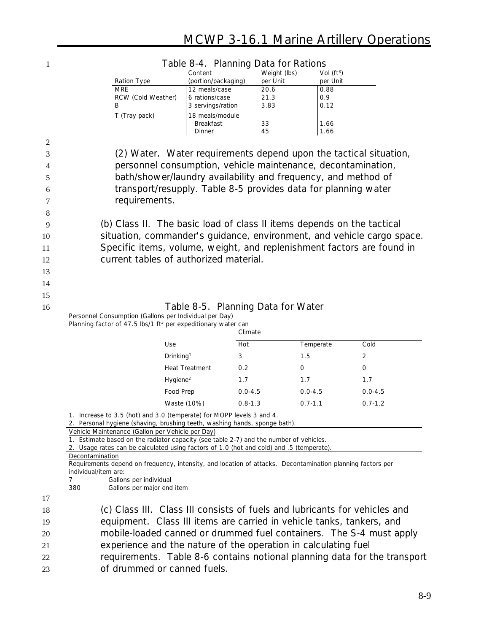| Table 8-4. Planning Data for Rations                                                                                                                                                                                                                                                                                                                                                                                                                                                                                                                                                                                                                                                                                                                                                                                                                      |                                      |                                    |                                                                   |             |
|-----------------------------------------------------------------------------------------------------------------------------------------------------------------------------------------------------------------------------------------------------------------------------------------------------------------------------------------------------------------------------------------------------------------------------------------------------------------------------------------------------------------------------------------------------------------------------------------------------------------------------------------------------------------------------------------------------------------------------------------------------------------------------------------------------------------------------------------------------------|--------------------------------------|------------------------------------|-------------------------------------------------------------------|-------------|
|                                                                                                                                                                                                                                                                                                                                                                                                                                                                                                                                                                                                                                                                                                                                                                                                                                                           | Content                              | Weight (lbs)                       | Vol $(ft^3)$                                                      |             |
| <b>Ration Type</b><br>MRE                                                                                                                                                                                                                                                                                                                                                                                                                                                                                                                                                                                                                                                                                                                                                                                                                                 | (portion/packaging)<br>12 meals/case | per Unit<br>20.6                   | per Unit<br>0.88                                                  |             |
| RCW (Cold Weather)                                                                                                                                                                                                                                                                                                                                                                                                                                                                                                                                                                                                                                                                                                                                                                                                                                        | 6 rations/case                       | 21.3                               | 0.9                                                               |             |
| B                                                                                                                                                                                                                                                                                                                                                                                                                                                                                                                                                                                                                                                                                                                                                                                                                                                         | 3 servings/ration                    | 3.83                               | 0.12                                                              |             |
| T (Tray pack)                                                                                                                                                                                                                                                                                                                                                                                                                                                                                                                                                                                                                                                                                                                                                                                                                                             | 18 meals/module                      |                                    |                                                                   |             |
|                                                                                                                                                                                                                                                                                                                                                                                                                                                                                                                                                                                                                                                                                                                                                                                                                                                           | Breakfast<br>Dinner                  | 33<br>45                           | 1.66<br>1.66                                                      |             |
|                                                                                                                                                                                                                                                                                                                                                                                                                                                                                                                                                                                                                                                                                                                                                                                                                                                           |                                      |                                    |                                                                   |             |
|                                                                                                                                                                                                                                                                                                                                                                                                                                                                                                                                                                                                                                                                                                                                                                                                                                                           |                                      |                                    | (2) Water. Water requirements depend upon the tactical situation, |             |
|                                                                                                                                                                                                                                                                                                                                                                                                                                                                                                                                                                                                                                                                                                                                                                                                                                                           |                                      |                                    | personnel consumption, vehicle maintenance, decontamination,      |             |
|                                                                                                                                                                                                                                                                                                                                                                                                                                                                                                                                                                                                                                                                                                                                                                                                                                                           |                                      |                                    |                                                                   |             |
|                                                                                                                                                                                                                                                                                                                                                                                                                                                                                                                                                                                                                                                                                                                                                                                                                                                           |                                      |                                    | bath/shower/laundry availability and frequency, and method of     |             |
|                                                                                                                                                                                                                                                                                                                                                                                                                                                                                                                                                                                                                                                                                                                                                                                                                                                           |                                      |                                    | transport/resupply. Table 8-5 provides data for planning water    |             |
| requirements.                                                                                                                                                                                                                                                                                                                                                                                                                                                                                                                                                                                                                                                                                                                                                                                                                                             |                                      |                                    |                                                                   |             |
|                                                                                                                                                                                                                                                                                                                                                                                                                                                                                                                                                                                                                                                                                                                                                                                                                                                           |                                      |                                    |                                                                   |             |
| (b) Class II. The basic load of class II items depends on the tactical                                                                                                                                                                                                                                                                                                                                                                                                                                                                                                                                                                                                                                                                                                                                                                                    |                                      |                                    |                                                                   |             |
| situation, commander's guidance, environment, and vehicle cargo space.                                                                                                                                                                                                                                                                                                                                                                                                                                                                                                                                                                                                                                                                                                                                                                                    |                                      |                                    |                                                                   |             |
| Specific items, volume, weight, and replenishment factors are found in                                                                                                                                                                                                                                                                                                                                                                                                                                                                                                                                                                                                                                                                                                                                                                                    |                                      |                                    |                                                                   |             |
| current tables of authorized material.                                                                                                                                                                                                                                                                                                                                                                                                                                                                                                                                                                                                                                                                                                                                                                                                                    |                                      |                                    |                                                                   |             |
|                                                                                                                                                                                                                                                                                                                                                                                                                                                                                                                                                                                                                                                                                                                                                                                                                                                           |                                      |                                    |                                                                   |             |
|                                                                                                                                                                                                                                                                                                                                                                                                                                                                                                                                                                                                                                                                                                                                                                                                                                                           |                                      | Table 8-5. Planning Data for Water |                                                                   |             |
|                                                                                                                                                                                                                                                                                                                                                                                                                                                                                                                                                                                                                                                                                                                                                                                                                                                           |                                      |                                    |                                                                   |             |
|                                                                                                                                                                                                                                                                                                                                                                                                                                                                                                                                                                                                                                                                                                                                                                                                                                                           |                                      | Climate                            |                                                                   |             |
|                                                                                                                                                                                                                                                                                                                                                                                                                                                                                                                                                                                                                                                                                                                                                                                                                                                           | Use                                  | Hot                                | Temperate                                                         | Cold        |
|                                                                                                                                                                                                                                                                                                                                                                                                                                                                                                                                                                                                                                                                                                                                                                                                                                                           | Drinking <sup>1</sup>                | 3                                  | 1.5                                                               | 2           |
|                                                                                                                                                                                                                                                                                                                                                                                                                                                                                                                                                                                                                                                                                                                                                                                                                                                           | Heat Treatment                       | 0.2                                | 0                                                                 | 0           |
|                                                                                                                                                                                                                                                                                                                                                                                                                                                                                                                                                                                                                                                                                                                                                                                                                                                           | Hygiene <sup>2</sup>                 | 1.7                                | 1.7                                                               | 1.7         |
|                                                                                                                                                                                                                                                                                                                                                                                                                                                                                                                                                                                                                                                                                                                                                                                                                                                           | Food Prep                            | $0.0 - 4.5$                        | $0.0 - 4.5$                                                       | $0.0 - 4.5$ |
|                                                                                                                                                                                                                                                                                                                                                                                                                                                                                                                                                                                                                                                                                                                                                                                                                                                           |                                      | $0.8 - 1.3$                        | $0.7 - 1.1$                                                       | $0.7 - 1.2$ |
|                                                                                                                                                                                                                                                                                                                                                                                                                                                                                                                                                                                                                                                                                                                                                                                                                                                           | Waste (10%)                          |                                    |                                                                   |             |
|                                                                                                                                                                                                                                                                                                                                                                                                                                                                                                                                                                                                                                                                                                                                                                                                                                                           |                                      |                                    |                                                                   |             |
|                                                                                                                                                                                                                                                                                                                                                                                                                                                                                                                                                                                                                                                                                                                                                                                                                                                           |                                      |                                    |                                                                   |             |
|                                                                                                                                                                                                                                                                                                                                                                                                                                                                                                                                                                                                                                                                                                                                                                                                                                                           |                                      |                                    |                                                                   |             |
|                                                                                                                                                                                                                                                                                                                                                                                                                                                                                                                                                                                                                                                                                                                                                                                                                                                           |                                      |                                    |                                                                   |             |
|                                                                                                                                                                                                                                                                                                                                                                                                                                                                                                                                                                                                                                                                                                                                                                                                                                                           |                                      |                                    |                                                                   |             |
|                                                                                                                                                                                                                                                                                                                                                                                                                                                                                                                                                                                                                                                                                                                                                                                                                                                           |                                      |                                    |                                                                   |             |
| Gallons per individual                                                                                                                                                                                                                                                                                                                                                                                                                                                                                                                                                                                                                                                                                                                                                                                                                                    |                                      |                                    |                                                                   |             |
| Gallons per major end item                                                                                                                                                                                                                                                                                                                                                                                                                                                                                                                                                                                                                                                                                                                                                                                                                                |                                      |                                    |                                                                   |             |
|                                                                                                                                                                                                                                                                                                                                                                                                                                                                                                                                                                                                                                                                                                                                                                                                                                                           |                                      |                                    |                                                                   |             |
| (c) Class III. Class III consists of fuels and lubricants for vehicles and                                                                                                                                                                                                                                                                                                                                                                                                                                                                                                                                                                                                                                                                                                                                                                                |                                      |                                    |                                                                   |             |
| Personnel Consumption (Gallons per Individual per Day)<br>Planning factor of 47.5 lbs/1 ft <sup>3</sup> per expeditionary water can<br>1. Increase to 3.5 (hot) and 3.0 (temperate) for MOPP levels 3 and 4.<br>2. Personal hygiene (shaving, brushing teeth, washing hands, sponge bath).<br>Vehicle Maintenance (Gallon per Vehicle per Day)<br>1. Estimate based on the radiator capacity (see table 2-7) and the number of vehicles.<br>2. Usage rates can be calculated using factors of 1.0 (hot and cold) and .5 (temperate).<br>Decontamination<br>Requirements depend on frequency, intensity, and location of attacks. Decontamination planning factors per<br>individual/item are:<br>7<br>380<br>equipment. Class III items are carried in vehicle tanks, tankers, and<br>mobile-loaded canned or drummed fuel containers. The S-4 must apply |                                      |                                    |                                                                   |             |

#### 1 **Table 8-4. Planning Data for Rations**

21 experience and the nature of the operation in calculating fuel 22 requirements. Table 8-6 contains notional planning data for the transport 23 of drummed or canned fuels.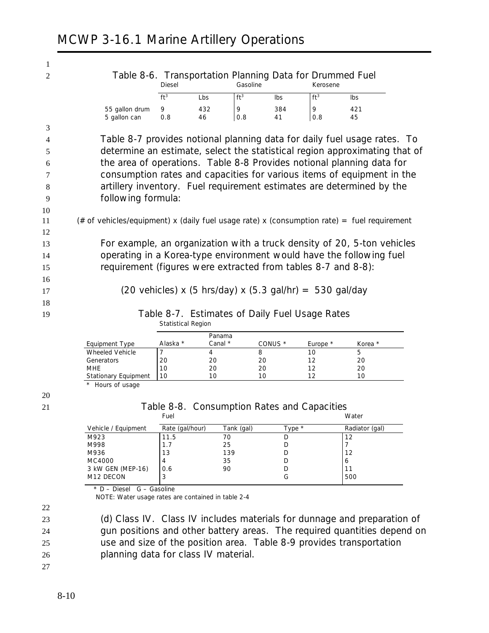| 1              |                                                                                             |                            |                |                         |                                                                                        |                                                                            |
|----------------|---------------------------------------------------------------------------------------------|----------------------------|----------------|-------------------------|----------------------------------------------------------------------------------------|----------------------------------------------------------------------------|
| $\overline{c}$ |                                                                                             | <b>Diesel</b>              |                | Gasoline                | Table 8-6. Transportation Planning Data for Drummed Fuel<br>Kerosene                   |                                                                            |
|                |                                                                                             | ft <sup>3</sup>            | Lbs            | ft <sup>3</sup><br>lbs  | ft <sup>3</sup>                                                                        | Ibs                                                                        |
|                | 55 gallon drum<br>5 gallon can                                                              | 9<br>0.8                   | 432<br>46      | 9<br>384<br>0.8<br>41   | 9<br>0.8                                                                               | 421<br>45                                                                  |
| 3              |                                                                                             |                            |                |                         |                                                                                        |                                                                            |
| 4              |                                                                                             |                            |                |                         |                                                                                        | Table 8-7 provides notional planning data for daily fuel usage rates. To   |
| 5              |                                                                                             |                            |                |                         |                                                                                        | determine an estimate, select the statistical region approximating that of |
| 6              |                                                                                             |                            |                |                         |                                                                                        | the area of operations. Table 8-8 Provides notional planning data for      |
| 7              |                                                                                             |                            |                |                         |                                                                                        | consumption rates and capacities for various items of equipment in the     |
| 8              |                                                                                             |                            |                |                         |                                                                                        | artillery inventory. Fuel requirement estimates are determined by the      |
| 9              | following formula:                                                                          |                            |                |                         |                                                                                        |                                                                            |
|                |                                                                                             |                            |                |                         |                                                                                        |                                                                            |
| 10             |                                                                                             |                            |                |                         |                                                                                        |                                                                            |
| 11<br>12       | (# of vehicles/equipment) x (daily fuel usage rate) x (consumption rate) = fuel requirement |                            |                |                         |                                                                                        |                                                                            |
| 13             |                                                                                             |                            |                |                         |                                                                                        | For example, an organization with a truck density of 20, 5-ton vehicles    |
| 14             |                                                                                             |                            |                |                         |                                                                                        | operating in a Korea-type environment would have the following fuel        |
| 15             | requirement (figures were extracted from tables 8-7 and 8-8):                               |                            |                |                         |                                                                                        |                                                                            |
| 16             |                                                                                             |                            |                |                         |                                                                                        |                                                                            |
| 17             |                                                                                             |                            |                |                         | $(20$ vehicles) x $(5 \text{ hrs/day})$ x $(5.3 \text{ gal/hr}) = 530 \text{ gal/day}$ |                                                                            |
|                |                                                                                             |                            |                |                         |                                                                                        |                                                                            |
| 18             |                                                                                             |                            |                |                         |                                                                                        |                                                                            |
| 19             |                                                                                             | <b>Statistical Region</b>  |                |                         | Table 8-7. Estimates of Daily Fuel Usage Rates                                         |                                                                            |
|                |                                                                                             |                            | Panama         |                         |                                                                                        |                                                                            |
|                | <b>Equipment Type</b><br>Wheeled Vehicle                                                    | Alaska *<br>$\overline{7}$ | Canal $*$<br>4 | CONUS <sup>*</sup><br>8 | Europe *<br>10                                                                         | Korea *<br>5                                                               |
|                | Generators                                                                                  | 20                         | 20             | 20                      | 12                                                                                     | 20                                                                         |
|                | <b>MHE</b>                                                                                  | 10                         | 20             | 20                      | 12                                                                                     | 20                                                                         |
|                | Stationary Equipment                                                                        | 10                         | 10             | 10                      | 12                                                                                     | 10                                                                         |
|                | * Hours of usage                                                                            |                            |                |                         |                                                                                        |                                                                            |
| 20             |                                                                                             |                            |                |                         |                                                                                        |                                                                            |
| 21             |                                                                                             |                            |                |                         | Table 8-8. Consumption Rates and Capacities                                            |                                                                            |
|                |                                                                                             | Fuel                       |                |                         |                                                                                        | Water                                                                      |
|                | Vehicle / Equipment                                                                         | Rate (gal/hour)            |                | Tank (gal)              | Type $*$                                                                               | Radiator (gal)                                                             |

| Vehicle / Equipment | Rate (gal/hour) | Tank (gal) | Type * | Radiator (gal) |
|---------------------|-----------------|------------|--------|----------------|
| M923                | 11.5            | 70         |        | 12             |
| M998                | 1.7             | 25         |        |                |
| M936                | 13              | 139        |        | 12             |
| MC4000              | 4               | 35         |        | ь              |
| 3 kW GEN (MEP-16)   | 0.6             | 90         |        | 11             |
| M12 DECON           | C.              |            | G      | 500            |

\* D – Diesel G – Gasoline

**NOTE:** Water usage rates are contained in table 2-4

22

 **(d) Class IV**. Class IV includes materials for dunnage and preparation of gun positions and other battery areas. The required quantities depend on use and size of the position area. Table 8-9 provides transportation planning data for class IV material.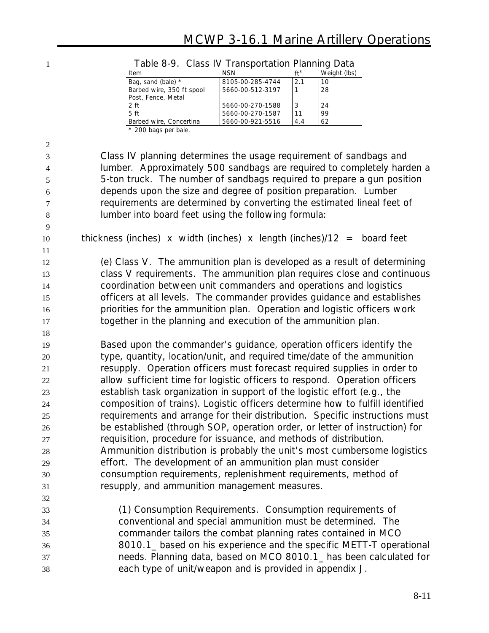| Item                      | <b>NSN</b>       | ft <sup>3</sup> | Weight (lbs) |
|---------------------------|------------------|-----------------|--------------|
| Bag, sand (bale) *        | 8105-00-285-4744 | 2.1             | 10           |
| Barbed wire, 350 ft spool | 5660-00-512-3197 |                 | 28           |
| Post, Fence, Metal        |                  |                 |              |
| 2 <sub>f</sub>            | 5660-00-270-1588 |                 | 24           |
| 5 <sub>f</sub>            | 5660-00-270-1587 | 11              | 99           |
| Barbed wire, Concertina   | 5660-00-921-5516 | 4.4             | 62           |

#### **Table 8-9. Class IV Transportation Planning Data**

\* 200 bags per bale.

 Class IV planning determines the usage requirement of sandbags and lumber. Approximately 500 sandbags are required to completely harden a 5-ton truck. The number of sandbags required to prepare a gun position depends upon the size and degree of position preparation. Lumber requirements are determined by converting the estimated lineal feet of lumber into board feet using the following formula:

10 thickness (inches) x width (inches) x length (inches)/12 = board feet

 **(e) Class V**. The ammunition plan is developed as a result of determining class V requirements. The ammunition plan requires close and continuous coordination between unit commanders and operations and logistics officers at all levels. The commander provides guidance and establishes priorities for the ammunition plan. Operation and logistic officers work together in the planning and execution of the ammunition plan.

- Based upon the commander's guidance, operation officers identify the type, quantity, location/unit, and required time/date of the ammunition resupply. Operation officers must forecast required supplies in order to allow sufficient time for logistic officers to respond. Operation officers establish task organization in support of the logistic effort (e.g., the composition of trains). Logistic officers determine how to fulfill identified requirements and arrange for their distribution. Specific instructions must be established (through SOP, operation order, or letter of instruction) for requisition, procedure for issuance, and methods of distribution. Ammunition distribution is probably the unit's most cumbersome logistics effort. The development of an ammunition plan must consider consumption requirements, replenishment requirements, method of resupply, and ammunition management measures.
- **(1) Consumption Requirements**. Consumption requirements of conventional and special ammunition must be determined. The commander tailors the combat planning rates contained in MCO 8010.1\_ based on his experience and the specific METT-T operational needs. Planning data, based on MCO 8010.1\_ has been calculated for each type of unit/weapon and is provided in appendix J.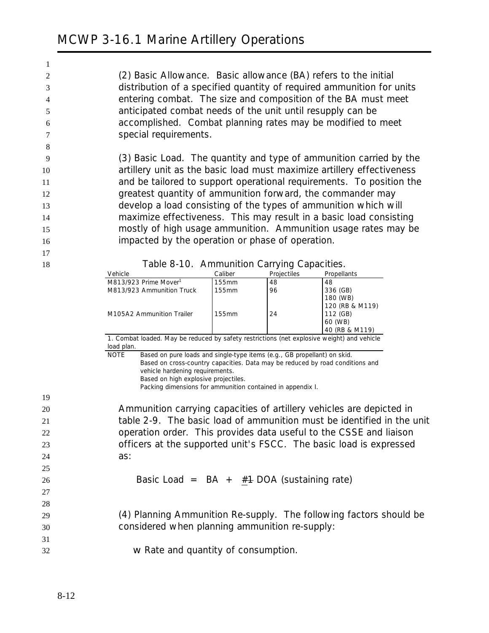**(2) Basic Allowance**. Basic allowance (BA) refers to the initial distribution of a specified quantity of required ammunition for units entering combat. The size and composition of the BA must meet anticipated combat needs of the unit until resupply can be accomplished. Combat planning rates may be modified to meet special requirements.

 **(3) Basic Load**. The quantity and type of ammunition carried by the artillery unit as the basic load must maximize artillery effectiveness and be tailored to support operational requirements. To position the greatest quantity of ammunition forward, the commander may develop a load consisting of the types of ammunition which will maximize effectiveness. This may result in a basic load consisting mostly of high usage ammunition. Ammunition usage rates may be impacted by the operation or phase of operation.

 

|    | Vehicle     |                                                                                                    | Caliber | Projectiles | Propellants     |  |
|----|-------------|----------------------------------------------------------------------------------------------------|---------|-------------|-----------------|--|
|    |             | M813/923 Prime Mover <sup>1</sup>                                                                  | 155mm   | 48          | 48              |  |
|    |             | M813/923 Ammunition Truck                                                                          | 155mm   | 96          | 336 (GB)        |  |
|    |             |                                                                                                    |         |             | 180 (WB)        |  |
|    |             |                                                                                                    |         |             | 120 (RB & M119) |  |
|    |             | M105A2 Ammunition Trailer                                                                          | 155mm   | 24          | 112 (GB)        |  |
|    |             |                                                                                                    |         |             | 60 (WB)         |  |
|    |             | 1. Combat loaded. May be reduced by safety restrictions (net explosive weight) and vehicle         |         |             | 40 (RB & M119)  |  |
|    | load plan.  |                                                                                                    |         |             |                 |  |
|    | <b>NOTE</b> | Based on pure loads and single-type items (e.g., GB propellant) on skid.                           |         |             |                 |  |
|    |             | Based on cross-country capacities. Data may be reduced by road conditions and                      |         |             |                 |  |
|    |             | vehicle hardening requirements.                                                                    |         |             |                 |  |
|    |             | Based on high explosive projectiles.<br>Packing dimensions for ammunition contained in appendix I. |         |             |                 |  |
| 19 |             |                                                                                                    |         |             |                 |  |
| 20 |             | Ammunition carrying capacities of artillery vehicles are depicted in                               |         |             |                 |  |
|    |             |                                                                                                    |         |             |                 |  |
| 21 |             | table 2-9. The basic load of ammunition must be identified in the unit                             |         |             |                 |  |
| 22 |             | operation order. This provides data useful to the CSSE and liaison                                 |         |             |                 |  |
| 23 |             | officers at the supported unit's FSCC. The basic load is expressed                                 |         |             |                 |  |
| 24 | as:         |                                                                                                    |         |             |                 |  |
| 25 |             |                                                                                                    |         |             |                 |  |
| 26 |             | Basic Load = $BA + #4 DOA$ (sustaining rate)                                                       |         |             |                 |  |
| 27 |             |                                                                                                    |         |             |                 |  |
| 28 |             |                                                                                                    |         |             |                 |  |
| 29 |             | (4) Planning Ammunition Re-supply. The following factors should be                                 |         |             |                 |  |
| 30 |             | considered when planning ammunition re-supply:                                                     |         |             |                 |  |
| 31 |             |                                                                                                    |         |             |                 |  |
| 32 |             | w Rate and quantity of consumption.                                                                |         |             |                 |  |
|    |             |                                                                                                    |         |             |                 |  |

**Table 8-10. Ammunition Carrying Capacities.**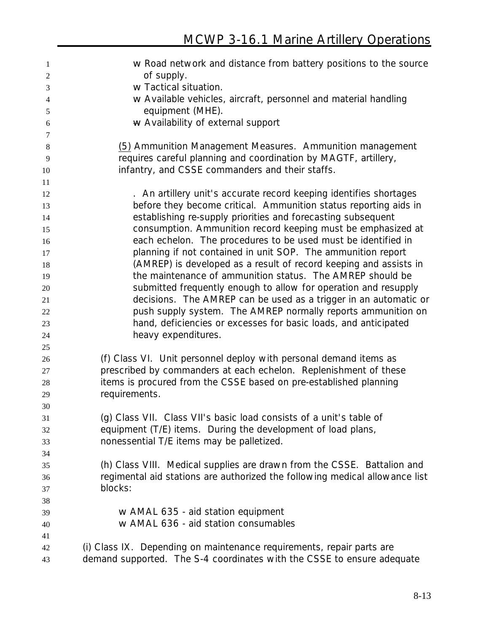| 1              | w Road network and distance from battery positions to the source            |
|----------------|-----------------------------------------------------------------------------|
| $\mathfrak{2}$ | of supply.                                                                  |
| 3              | w Tactical situation.                                                       |
| $\overline{4}$ | w Available vehicles, aircraft, personnel and material handling             |
| 5              | equipment (MHE).                                                            |
| 6              | w Availability of external support                                          |
| $\tau$         |                                                                             |
| 8              | (5) Ammunition Management Measures. Ammunition management                   |
| 9              | requires careful planning and coordination by MAGTF, artillery,             |
| 10             | infantry, and CSSE commanders and their staffs.                             |
| 11             |                                                                             |
| 12             | . An artillery unit's accurate record keeping identifies shortages          |
| 13             | before they become critical. Ammunition status reporting aids in            |
| 14             | establishing re-supply priorities and forecasting subsequent                |
| 15             | consumption. Ammunition record keeping must be emphasized at                |
| 16             | each echelon. The procedures to be used must be identified in               |
| 17             | planning if not contained in unit SOP. The ammunition report                |
| 18             | (AMREP) is developed as a result of record keeping and assists in           |
| 19             | the maintenance of ammunition status. The AMREP should be                   |
| 20             | submitted frequently enough to allow for operation and resupply             |
| 21             | decisions. The AMREP can be used as a trigger in an automatic or            |
| 22             | push supply system. The AMREP normally reports ammunition on                |
| 23             | hand, deficiencies or excesses for basic loads, and anticipated             |
| 24             | heavy expenditures.                                                         |
| 25             |                                                                             |
| 26             | (f) Class VI. Unit personnel deploy with personal demand items as           |
| $27\,$         | prescribed by commanders at each echelon. Replenishment of these            |
| 28             | items is procured from the CSSE based on pre-established planning           |
| 29             | requirements.                                                               |
| 30             |                                                                             |
| 31             | (g) Class VII. Class VII's basic load consists of a unit's table of         |
| 32             | equipment (T/E) items. During the development of load plans,                |
| 33             | nonessential T/E items may be palletized.                                   |
| 34             |                                                                             |
| 35             | (h) Class VIII. Medical supplies are drawn from the CSSE. Battalion and     |
| 36             | regimental aid stations are authorized the following medical allowance list |
| 37             | blocks:                                                                     |
| 38             |                                                                             |
| 39             | w AMAL 635 - aid station equipment                                          |
| 40             | w AMAL 636 - aid station consumables                                        |
| 41             |                                                                             |
| 42             | (i) Class IX. Depending on maintenance requirements, repair parts are       |
| 43             | demand supported. The S-4 coordinates with the CSSE to ensure adequate      |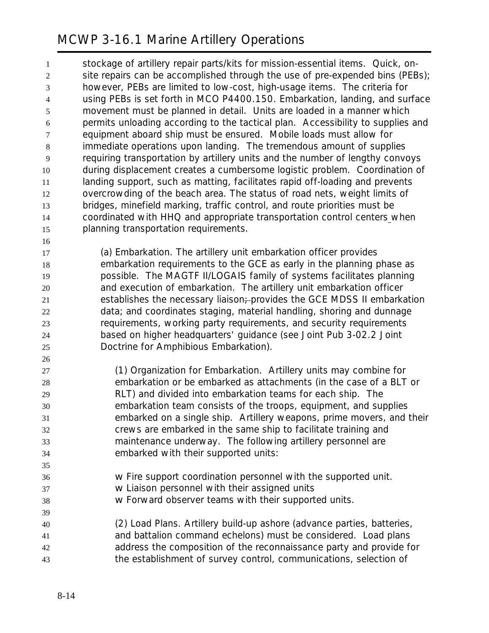stockage of artillery repair parts/kits for mission-essential items. Quick, on-2 site repairs can be accomplished through the use of pre-expended bins (PEBs); however, PEBs are limited to low-cost, high-usage items. The criteria for using PEBs is set forth in MCO P4400.150. Embarkation, landing, and surface movement must be planned in detail. Units are loaded in a manner which permits unloading according to the tactical plan. Accessibility to supplies and equipment aboard ship must be ensured. Mobile loads must allow for immediate operations upon landing. The tremendous amount of supplies requiring transportation by artillery units and the number of lengthy convoys during displacement creates a cumbersome logistic problem. Coordination of 11 landing support, such as matting, facilitates rapid off-loading and prevents overcrowding of the beach area. The status of road nets, weight limits of bridges, minefield marking, traffic control, and route priorities must be coordinated with HHQ and appropriate transportation control centers when planning transportation requirements.

 **(a) Embarkation.** The artillery unit embarkation officer provides embarkation requirements to the GCE as early in the planning phase as possible. The MAGTF II/LOGAIS family of systems facilitates planning and execution of embarkation. The artillery unit embarkation officer 21 establishes the necessary liaison; provides the GCE MDSS II embarkation data; and coordinates staging, material handling, shoring and dunnage requirements, working party requirements, and security requirements based on higher headquarters' guidance (see Joint Pub 3-02.2 Joint Doctrine for Amphibious Embarkation).

- **(1) Organization for Embarkation.** Artillery units may combine for embarkation or be embarked as attachments (in the case of a BLT or RLT) and divided into embarkation teams for each ship. The embarkation team consists of the troops, equipment, and supplies embarked on a single ship. Artillery weapons, prime movers, and their crews are embarked in the same ship to facilitate training and maintenance underway. The following artillery personnel are embarked with their supported units:
- w Fire support coordination personnel with the supported unit.
- w Liaison personnel with their assigned units
- w Forward observer teams with their supported units.
- **(2) Load Plans**. Artillery build-up ashore (advance parties, batteries, and battalion command echelons) must be considered. Load plans address the composition of the reconnaissance party and provide for the establishment of survey control, communications, selection of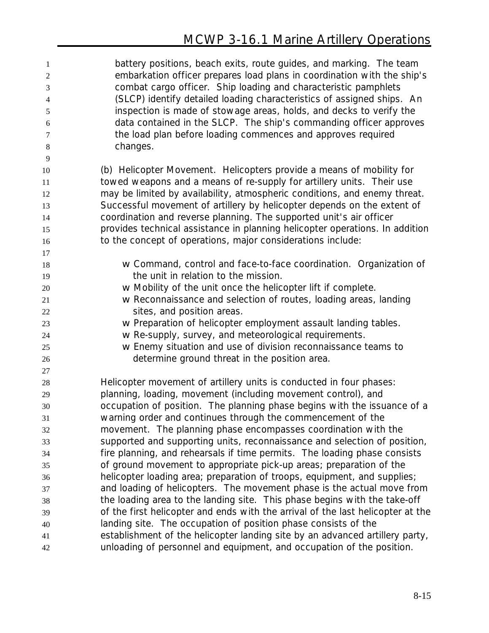| 1              | battery positions, beach exits, route guides, and marking. The team             |
|----------------|---------------------------------------------------------------------------------|
| $\overline{c}$ | embarkation officer prepares load plans in coordination with the ship's         |
| 3              | combat cargo officer. Ship loading and characteristic pamphlets                 |
| $\overline{4}$ | (SLCP) identify detailed loading characteristics of assigned ships. An          |
| 5              | inspection is made of stowage areas, holds, and decks to verify the             |
| 6              | data contained in the SLCP. The ship's commanding officer approves              |
| 7              | the load plan before loading commences and approves required                    |
| 8              | changes.                                                                        |
| 9              |                                                                                 |
| 10             | (b) Helicopter Movement. Helicopters provide a means of mobility for            |
| 11             | towed weapons and a means of re-supply for artillery units. Their use           |
| 12             | may be limited by availability, atmospheric conditions, and enemy threat.       |
| 13             | Successful movement of artillery by helicopter depends on the extent of         |
| 14             | coordination and reverse planning. The supported unit's air officer             |
| 15             | provides technical assistance in planning helicopter operations. In addition    |
| 16             | to the concept of operations, major considerations include:                     |
| 17             |                                                                                 |
| 18             | w Command, control and face-to-face coordination. Organization of               |
| 19             | the unit in relation to the mission.                                            |
| $20\,$         | w Mobility of the unit once the helicopter lift if complete.                    |
| 21             | w Reconnaissance and selection of routes, loading areas, landing                |
| $22\,$         | sites, and position areas.                                                      |
| 23             | w Preparation of helicopter employment assault landing tables.                  |
| 24             | w Re-supply, survey, and meteorological requirements.                           |
| 25             | w Enemy situation and use of division reconnaissance teams to                   |
| 26             | determine ground threat in the position area.                                   |
| 27             |                                                                                 |
| 28             | Helicopter movement of artillery units is conducted in four phases:             |
| 29             | planning, loading, movement (including movement control), and                   |
| 30             | occupation of position. The planning phase begins with the issuance of a        |
| 31             | warning order and continues through the commencement of the                     |
| 32             | movement. The planning phase encompasses coordination with the                  |
| 33             | supported and supporting units, reconnaissance and selection of position,       |
| 34             | fire planning, and rehearsals if time permits. The loading phase consists       |
| 35             | of ground movement to appropriate pick-up areas; preparation of the             |
| 36             | helicopter loading area; preparation of troops, equipment, and supplies;        |
| 37             | and loading of helicopters. The movement phase is the actual move from          |
| 38             | the loading area to the landing site. This phase begins with the take-off       |
| 39             | of the first helicopter and ends with the arrival of the last helicopter at the |
| 40             | landing site. The occupation of position phase consists of the                  |
| 41             | establishment of the helicopter landing site by an advanced artillery party,    |
| 42             | unloading of personnel and equipment, and occupation of the position.           |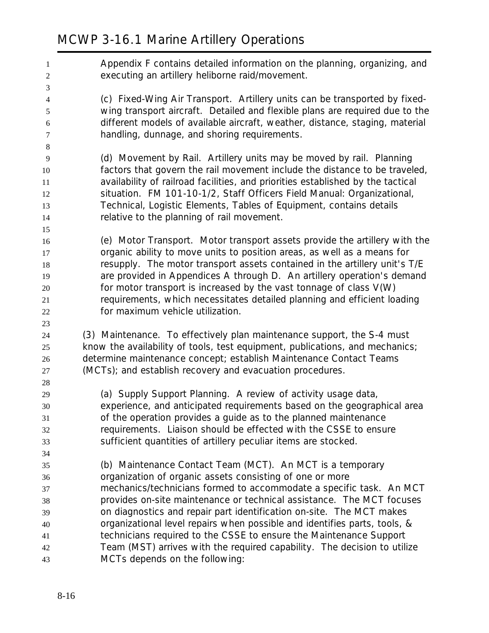Appendix F contains detailed information on the planning, organizing, and executing an artillery heliborne raid/movement. **(c) Fixed-Wing Air Transport.** Artillery units can be transported by fixed- wing transport aircraft. Detailed and flexible plans are required due to the different models of available aircraft, weather, distance, staging, material handling, dunnage, and shoring requirements. **(d) Movement by Rail.** Artillery units may be moved by rail. Planning factors that govern the rail movement include the distance to be traveled, availability of railroad facilities, and priorities established by the tactical situation. FM 101-10-1/2, *Staff Officers Field Manual: Organizational, Technical, Logistic Elements, Tables of Equipment*, contains details relative to the planning of rail movement. **(e) Motor Transport.** Motor transport assets provide the artillery with the organic ability to move units to position areas, as well as a means for resupply. The motor transport assets contained in the artillery unit's T/E are provided in Appendices A through D. An artillery operation's demand for motor transport is increased by the vast tonnage of class V(W) requirements, which necessitates detailed planning and efficient loading for maximum vehicle utilization. **(3) Maintenance**. To effectively plan maintenance support, the S-4 must know the availability of tools, test equipment, publications, and mechanics; determine maintenance concept; establish Maintenance Contact Teams (MCTs); and establish recovery and evacuation procedures. **(a) Supply Support Planning.** A review of activity usage data, experience, and anticipated requirements based on the geographical area of the operation provides a guide as to the planned maintenance requirements. Liaison should be effected with the CSSE to ensure sufficient quantities of artillery peculiar items are stocked. **(b) Maintenance Contact Team (MCT).** An MCT is a temporary organization of organic assets consisting of one or more mechanics/technicians formed to accommodate a specific task. An MCT provides on-site maintenance or technical assistance. The MCT focuses on diagnostics and repair part identification on-site. The MCT makes organizational level repairs when possible and identifies parts, tools, & technicians required to the CSSE to ensure the Maintenance Support Team (MST) arrives with the required capability. The decision to utilize MCTs depends on the following: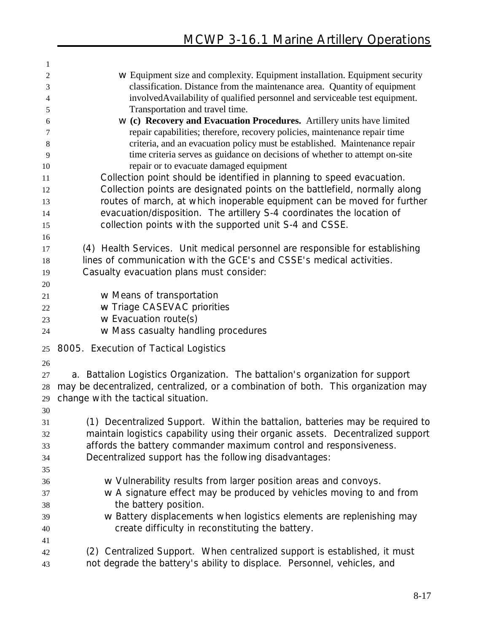| $\mathbf{1}$   |                                                                                    |
|----------------|------------------------------------------------------------------------------------|
| $\overline{2}$ | w Equipment size and complexity. Equipment installation. Equipment security        |
| 3              | classification. Distance from the maintenance area. Quantity of equipment          |
| 4              | involvedAvailability of qualified personnel and serviceable test equipment.        |
| 5              | Transportation and travel time.                                                    |
| 6              | w (c) Recovery and Evacuation Procedures. Artillery units have limited             |
| 7              | repair capabilities; therefore, recovery policies, maintenance repair time         |
| 8              | criteria, and an evacuation policy must be established. Maintenance repair         |
| 9              | time criteria serves as guidance on decisions of whether to attempt on-site        |
| 10             | repair or to evacuate damaged equipment                                            |
| 11             | Collection point should be identified in planning to speed evacuation.             |
| 12             | Collection points are designated points on the battlefield, normally along         |
| 13             | routes of march, at which inoperable equipment can be moved for further            |
| 14             | evacuation/disposition. The artillery S-4 coordinates the location of              |
| 15             | collection points with the supported unit S-4 and CSSE.                            |
| 16             |                                                                                    |
| 17             | (4) Health Services. Unit medical personnel are responsible for establishing       |
| 18             | lines of communication with the GCE's and CSSE's medical activities.               |
| 19             | Casualty evacuation plans must consider:                                           |
| 20             |                                                                                    |
| 21             | w Means of transportation                                                          |
| 22             | w Triage CASEVAC priorities                                                        |
| 23             | w Evacuation route(s)                                                              |
| 24             | w Mass casualty handling procedures                                                |
| 25             | 8005. Execution of Tactical Logistics                                              |
| 26             |                                                                                    |
| 27             | a. Battalion Logistics Organization. The battalion's organization for support      |
| 28             | may be decentralized, centralized, or a combination of both. This organization may |
| 29             | change with the tactical situation.                                                |
| 30             |                                                                                    |
| 31             | (1) Decentralized Support. Within the battalion, batteries may be required to      |
| 32             | maintain logistics capability using their organic assets. Decentralized support    |
| 33             | affords the battery commander maximum control and responsiveness.                  |
| 34             | Decentralized support has the following disadvantages:                             |
| 35             |                                                                                    |
| 36             | w Vulnerability results from larger position areas and convoys.                    |
| 37             | w A signature effect may be produced by vehicles moving to and from                |
| 38             | the battery position.                                                              |
| 39             | w Battery displacements when logistics elements are replenishing may               |
| 40             | create difficulty in reconstituting the battery.                                   |
| 41             |                                                                                    |
| 42             | (2) Centralized Support. When centralized support is established, it must          |
| 43             | not degrade the battery's ability to displace. Personnel, vehicles, and            |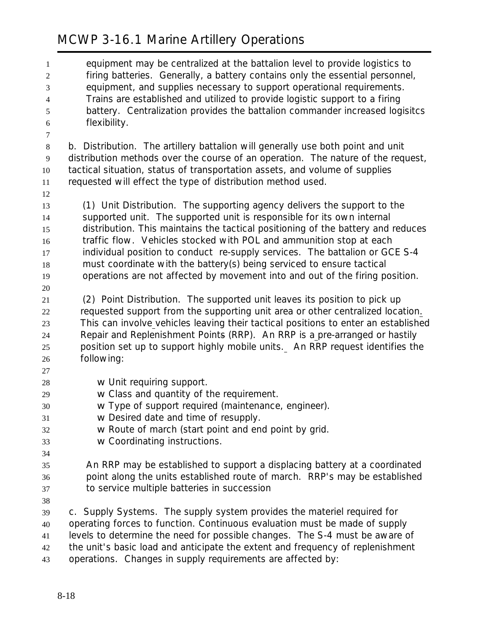| $\mathbf{1}$   | equipment may be centralized at the battalion level to provide logistics to                                                                                      |
|----------------|------------------------------------------------------------------------------------------------------------------------------------------------------------------|
| $\overline{2}$ | firing batteries. Generally, a battery contains only the essential personnel,                                                                                    |
| 3              | equipment, and supplies necessary to support operational requirements.                                                                                           |
| $\overline{4}$ | Trains are established and utilized to provide logistic support to a firing                                                                                      |
| 5              | battery. Centralization provides the battalion commander increased logisitcs                                                                                     |
| 6              | flexibility.                                                                                                                                                     |
| 7              |                                                                                                                                                                  |
| 8              | b. Distribution. The artillery battalion will generally use both point and unit                                                                                  |
| 9              | distribution methods over the course of an operation. The nature of the request,                                                                                 |
| 10             | tactical situation, status of transportation assets, and volume of supplies                                                                                      |
| 11             | requested will effect the type of distribution method used.                                                                                                      |
| 12             |                                                                                                                                                                  |
| 13             | (1) Unit Distribution. The supporting agency delivers the support to the                                                                                         |
| 14             | supported unit. The supported unit is responsible for its own internal                                                                                           |
| 15             | distribution. This maintains the tactical positioning of the battery and reduces                                                                                 |
| 16             | traffic flow. Vehicles stocked with POL and ammunition stop at each                                                                                              |
| 17             | individual position to conduct re-supply services. The battalion or GCE S-4                                                                                      |
| 18             | must coordinate with the battery(s) being serviced to ensure tactical                                                                                            |
| 19             | operations are not affected by movement into and out of the firing position.                                                                                     |
| 20             |                                                                                                                                                                  |
| 21             | (2) Point Distribution. The supported unit leaves its position to pick up                                                                                        |
| 22             | requested support from the supporting unit area or other centralized location.                                                                                   |
| 23<br>24       | This can involve vehicles leaving their tactical positions to enter an established<br>Repair and Replenishment Points (RRP). An RRP is a pre-arranged or hastily |
| 25             | position set up to support highly mobile units. An RRP request identifies the                                                                                    |
| 26             | following:                                                                                                                                                       |
| 27             |                                                                                                                                                                  |
| 28             | w Unit requiring support.                                                                                                                                        |
| 29             | w Class and quantity of the requirement.                                                                                                                         |
| 30             | w Type of support required (maintenance, engineer).                                                                                                              |
| 31             | w Desired date and time of resupply.                                                                                                                             |
| 32             | Route of march (start point and end point by grid.<br>W                                                                                                          |
| 33             | w Coordinating instructions.                                                                                                                                     |
| 34             |                                                                                                                                                                  |
| 35             | An RRP may be established to support a displacing battery at a coordinated                                                                                       |
| 36             | point along the units established route of march. RRP's may be established                                                                                       |
| 37             | to service multiple batteries in succession                                                                                                                      |
| 38             |                                                                                                                                                                  |
| 39             | c. Supply Systems. The supply system provides the materiel required for                                                                                          |
| 40             | operating forces to function. Continuous evaluation must be made of supply                                                                                       |
| 41             | levels to determine the need for possible changes. The S-4 must be aware of                                                                                      |
| 42             | the unit's basic load and anticipate the extent and frequency of replenishment                                                                                   |
| 43             | operations. Changes in supply requirements are affected by:                                                                                                      |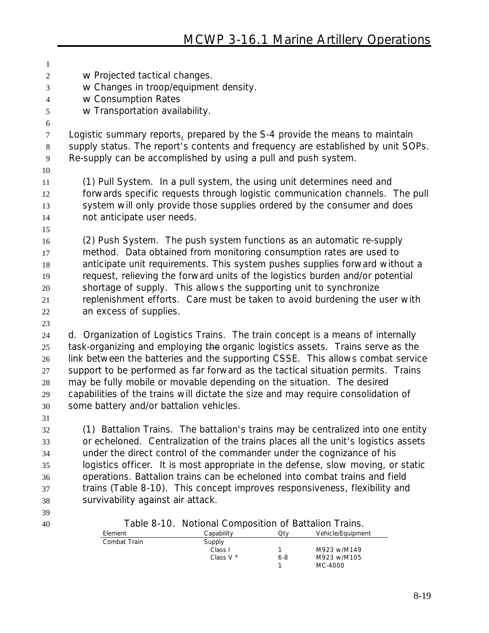w Projected tactical changes. w Changes in troop/equipment density. w Consumption Rates w Transportation availability. Logistic summary reports, prepared by the S-4 provide the means to maintain supply status. The report's contents and frequency are established by unit SOPs. Re-supply can be accomplished by using a pull and push system. **(1) Pull System**. In a pull system, the using unit determines need and forwards specific requests through logistic communication channels. The pull 13 system will only provide those supplies ordered by the consumer and does not anticipate user needs. **(2) Push System**. The push system functions as an automatic re-supply method. Data obtained from monitoring consumption rates are used to anticipate unit requirements. This system pushes supplies forward without a request, relieving the forward units of the logistics burden and/or potential shortage of supply. This allows the supporting unit to synchronize replenishment efforts. Care must be taken to avoid burdening the user with an excess of supplies. **d. Organization of Logistics Trains**. The train concept is a means of internally 25 task-organizing and employing the organic logistics assets. Trains serve as the link between the batteries and the supporting CSSE. This allows combat service support to be performed as far forward as the tactical situation permits. Trains may be fully mobile or movable depending on the situation. The desired capabilities of the trains will dictate the size and may require consolidation of some battery and/or battalion vehicles. **(1) Battalion Trains.** The battalion's trains may be centralized into one entity or echeloned. Centralization of the trains places all the unit's logistics assets under the direct control of the commander under the cognizance of his logistics officer. It is most appropriate in the defense, slow moving, or static operations. Battalion trains can be echeloned into combat trains and field trains (Table 8-10). This concept improves responsiveness, flexibility and survivability against air attack.

| 40 |  | Table 8-10. Notional Composition of Battalion Trains. |  |
|----|--|-------------------------------------------------------|--|
|    |  |                                                       |  |

| Capability  | Qtv | <b>Vehicle/Equipment</b> |
|-------------|-----|--------------------------|
| Supply      |     |                          |
| Class I     |     | M923 w/M149              |
| Class V $*$ | 6-8 | M923 w/M105              |
|             |     | MC-4000                  |
|             |     |                          |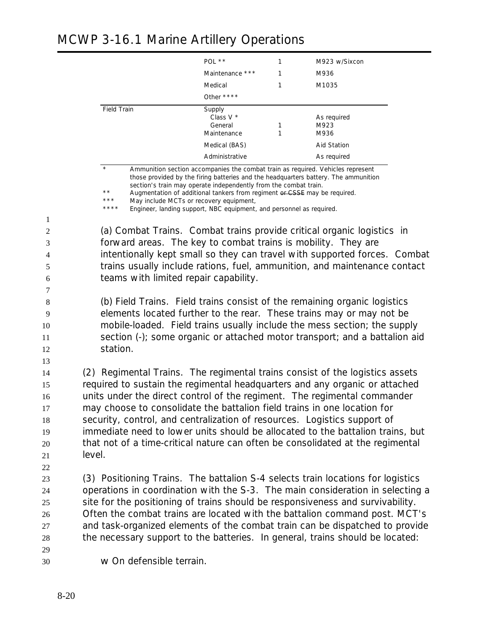|             | POL **<br>Maintenance ***<br>Medical<br>Other ****                                 | 1<br>1<br>1 | M923 w/Sixcon<br>M936<br>M1035                            |
|-------------|------------------------------------------------------------------------------------|-------------|-----------------------------------------------------------|
| Field Train | Supply<br>Class $V^*$<br>General<br>Maintenance<br>Medical (BAS)<br>Administrative | 1<br>1      | As required<br>M923<br>M936<br>Aid Station<br>As required |

Ammunition section accompanies the combat train as required. Vehicles represent those provided by the firing batteries and the headquarters battery. The ammunition section's train may operate independently from the combat train.

\*\* Augmentation of additional tankers from regiment or CSSE may be required.

\*\*\* May include MCTs or recovery equipment,

\*

\*\*\*\* Engineer, landing support, NBC equipment, and personnel as required.

 **(a) Combat Trains**. Combat trains provide critical organic logistics in forward areas. The key to combat trains is mobility. They are intentionally kept small so they can travel with supported forces. Combat trains usually include rations, fuel, ammunition, and maintenance contact teams with limited repair capability.

8 **(b) Field Trains**. Field trains consist of the remaining organic logistics 9 elements located further to the rear. These trains may or may not be 10 mobile-loaded. Field trains usually include the mess section; the supply 11 section (-); some organic or attached motor transport; and a battalion aid 12 station.

13

1

7

 **(2) Regimental Trains.** The regimental trains consist of the logistics assets required to sustain the regimental headquarters and any organic or attached units under the direct control of the regiment. The regimental commander may choose to consolidate the battalion field trains in one location for security, control, and centralization of resources. Logistics support of immediate need to lower units should be allocated to the battalion trains, but that not of a time-critical nature can often be consolidated at the regimental 21 level.

22

 **(3) Positioning Trains.** The battalion S-4 selects train locations for logistics operations in coordination with the S-3. The main consideration in selecting a site for the positioning of trains should be responsiveness and survivability. Often the combat trains are located with the battalion command post. MCT's and task-organized elements of the combat train can be dispatched to provide the necessary support to the batteries. In general, trains should be located:

29

30 w On defensible terrain.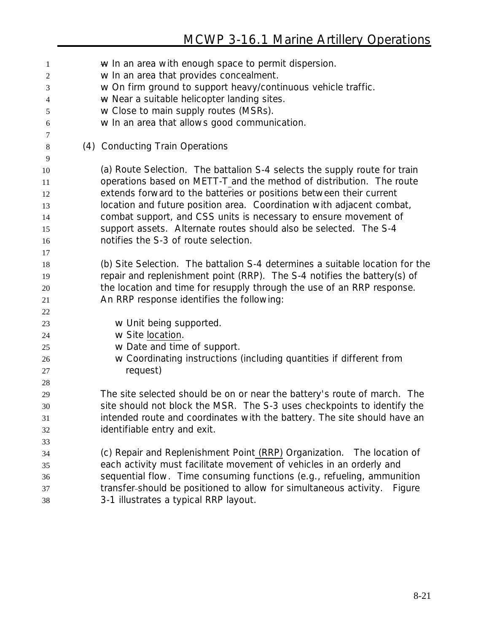| 1      | $\mathbf w$ In an area with enough space to permit dispersion.               |
|--------|------------------------------------------------------------------------------|
| 2      | w In an area that provides concealment.                                      |
| 3      | w On firm ground to support heavy/continuous vehicle traffic.                |
| 4      | w Near a suitable helicopter landing sites.                                  |
| 5      | w Close to main supply routes (MSRs).                                        |
| 6      | w In an area that allows good communication.                                 |
| 7<br>8 | (4) Conducting Train Operations                                              |
| 9      |                                                                              |
| 10     | (a) Route Selection. The battalion S-4 selects the supply route for train    |
| 11     | operations based on METT-T and the method of distribution. The route         |
| 12     | extends forward to the batteries or positions between their current          |
| 13     | location and future position area. Coordination with adjacent combat,        |
| 14     | combat support, and CSS units is necessary to ensure movement of             |
| 15     | support assets. Alternate routes should also be selected. The S-4            |
| 16     | notifies the S-3 of route selection.                                         |
| 17     |                                                                              |
| 18     | (b) Site Selection. The battalion S-4 determines a suitable location for the |
| 19     | repair and replenishment point (RRP). The S-4 notifies the battery(s) of     |
| 20     | the location and time for resupply through the use of an RRP response.       |
| 21     | An RRP response identifies the following:                                    |
| 22     |                                                                              |
| 23     | w Unit being supported.                                                      |
| 24     | w Site location.                                                             |
| 25     | w Date and time of support.                                                  |
| 26     | w Coordinating instructions (including quantities if different from          |
| 27     | request)                                                                     |
| 28     |                                                                              |
| 29     | The site selected should be on or near the battery's route of march. The     |
| 30     | site should not block the MSR. The S-3 uses checkpoints to identify the      |
| 31     | intended route and coordinates with the battery. The site should have an     |
| 32     | identifiable entry and exit.                                                 |
| 33     |                                                                              |
| 34     | (c) Repair and Replenishment Point (RRP) Organization.<br>The location of    |
| 35     | each activity must facilitate movement of vehicles in an orderly and         |
| 36     | sequential flow. Time consuming functions (e.g., refueling, ammunition       |
| 37     | transfer-should be positioned to allow for simultaneous activity. Figure     |
| 38     | 3-1 illustrates a typical RRP layout.                                        |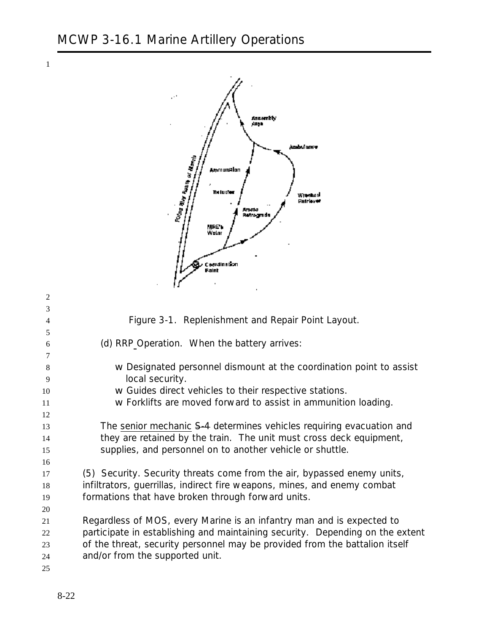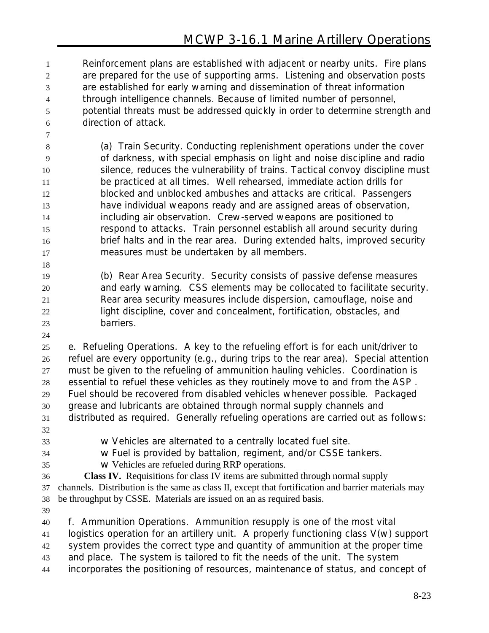Reinforcement plans are established with adjacent or nearby units. Fire plans are prepared for the use of supporting arms. Listening and observation posts are established for early warning and dissemination of threat information through intelligence channels. Because of limited number of personnel, potential threats must be addressed quickly in order to determine strength and direction of attack.

 **(a) Train Security.** Conducting replenishment operations under the cover of darkness, with special emphasis on light and noise discipline and radio silence, reduces the vulnerability of trains. Tactical convoy discipline must be practiced at all times. Well rehearsed, immediate action drills for blocked and unblocked ambushes and attacks are critical. Passengers have individual weapons ready and are assigned areas of observation, including air observation. Crew-served weapons are positioned to respond to attacks. Train personnel establish all around security during brief halts and in the rear area. During extended halts, improved security measures must be undertaken by all members.

 **(b) Rear Area Security.** Security consists of passive defense measures and early warning. CSS elements may be collocated to facilitate security. Rear area security measures include dispersion, camouflage, noise and light discipline, cover and concealment, fortification, obstacles, and barriers.

 **e. Refueling Operations.** A key to the refueling effort is for each unit/driver to refuel are every opportunity (e.g., during trips to the rear area). Special attention must be given to the refueling of ammunition hauling vehicles. Coordination is essential to refuel these vehicles as they routinely move to and from the ASP . Fuel should be recovered from disabled vehicles whenever possible. Packaged grease and lubricants are obtained through normal supply channels and distributed as required. Generally refueling operations are carried out as follows:

- 
- 
- w Vehicles are alternated to a centrally located fuel site.
- w Fuel is provided by battalion, regiment, and/or CSSE tankers.
- w Vehicles are refueled during RRP operations.

 **Class IV.** Requisitions for class IV items are submitted through normal supply channels. Distribution is the same as class II, except that fortification and barrier materials may be throughput by CSSE. Materials are issued on an as required basis.

 **f. Ammunition Operations.** Ammunition resupply is one of the most vital logistics operation for an artillery unit. A properly functioning class V(w) support system provides the correct type and quantity of ammunition at the proper time and place. The system is tailored to fit the needs of the unit. The system incorporates the positioning of resources, maintenance of status, and concept of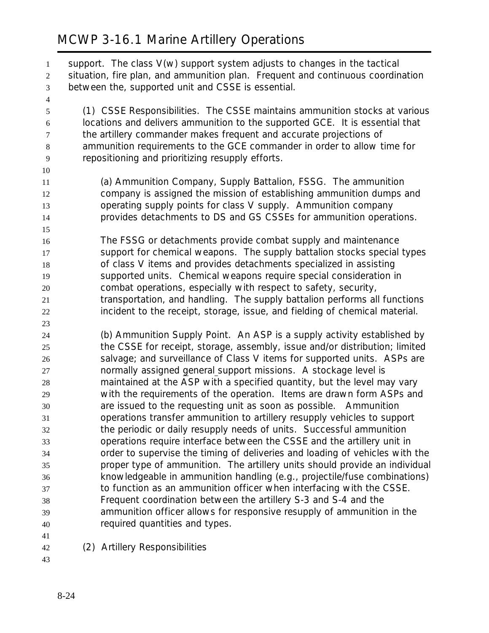| $\,1\,$                 | support. The class V(w) support system adjusts to changes in the tactical                                                                                  |
|-------------------------|------------------------------------------------------------------------------------------------------------------------------------------------------------|
| $\sqrt{2}$              | situation, fire plan, and ammunition plan. Frequent and continuous coordination                                                                            |
| 3                       | between the, supported unit and CSSE is essential.                                                                                                         |
| $\overline{\mathbf{4}}$ |                                                                                                                                                            |
| 5<br>6                  | (1) CSSE Responsibilities. The CSSE maintains ammunition stocks at various<br>locations and delivers ammunition to the supported GCE. It is essential that |
| 7                       | the artillery commander makes frequent and accurate projections of                                                                                         |
| $\,8\,$                 | ammunition requirements to the GCE commander in order to allow time for                                                                                    |
| 9                       | repositioning and prioritizing resupply efforts.                                                                                                           |
| 10                      |                                                                                                                                                            |
| 11                      | (a) Ammunition Company, Supply Battalion, FSSG. The ammunition                                                                                             |
| 12                      | company is assigned the mission of establishing ammunition dumps and                                                                                       |
| 13                      | operating supply points for class V supply. Ammunition company                                                                                             |
| 14                      | provides detachments to DS and GS CSSEs for ammunition operations.                                                                                         |
| 15                      |                                                                                                                                                            |
| 16                      | The FSSG or detachments provide combat supply and maintenance                                                                                              |
| 17                      | support for chemical weapons. The supply battalion stocks special types                                                                                    |
| 18                      | of class V items and provides detachments specialized in assisting                                                                                         |
| 19                      | supported units. Chemical weapons require special consideration in                                                                                         |
| 20                      | combat operations, especially with respect to safety, security,                                                                                            |
| 21                      | transportation, and handling. The supply battalion performs all functions                                                                                  |
| $22\,$                  | incident to the receipt, storage, issue, and fielding of chemical material.                                                                                |
| 23                      |                                                                                                                                                            |
| 24                      | (b) Ammunition Supply Point. An ASP is a supply activity established by                                                                                    |
| 25                      | the CSSE for receipt, storage, assembly, issue and/or distribution; limited                                                                                |
| 26                      | salvage; and surveillance of Class V items for supported units. ASPs are                                                                                   |
| $27\,$                  | normally assigned general support missions. A stockage level is                                                                                            |
| 28                      | maintained at the ASP with a specified quantity, but the level may vary                                                                                    |
| 29                      | with the requirements of the operation. Items are drawn form ASPs and                                                                                      |
| 30                      | are issued to the requesting unit as soon as possible. Ammunition                                                                                          |
| 31                      | operations transfer ammunition to artillery resupply vehicles to support                                                                                   |
| 32                      | the periodic or daily resupply needs of units. Successful ammunition                                                                                       |
| 33                      | operations require interface between the CSSE and the artillery unit in                                                                                    |
| 34                      | order to supervise the timing of deliveries and loading of vehicles with the                                                                               |
| 35                      | proper type of ammunition. The artillery units should provide an individual                                                                                |
| 36                      | knowledgeable in ammunition handling (e.g., projectile/fuse combinations)                                                                                  |
| 37                      | to function as an ammunition officer when interfacing with the CSSE.                                                                                       |
| 38                      | Frequent coordination between the artillery S-3 and S-4 and the                                                                                            |
| 39                      | ammunition officer allows for responsive resupply of ammunition in the                                                                                     |
| 40                      | required quantities and types.                                                                                                                             |
| 41                      |                                                                                                                                                            |
| 42                      | (2) Artillery Responsibilities                                                                                                                             |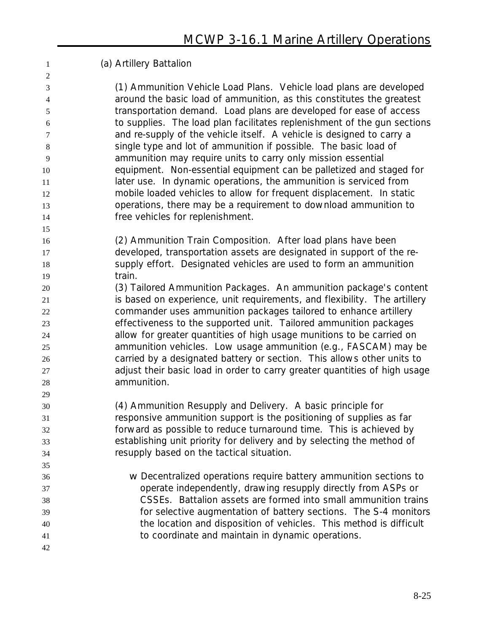**(a) Artillery Battalion**

 **(1) Ammunition Vehicle Load Plans**. Vehicle load plans are developed around the basic load of ammunition, as this constitutes the greatest transportation demand. Load plans are developed for ease of access to supplies. The load plan facilitates replenishment of the gun sections and re-supply of the vehicle itself. A vehicle is designed to carry a single type and lot of ammunition if possible. The basic load of ammunition may require units to carry only mission essential equipment. Non-essential equipment can be palletized and staged for 11 later use. In dynamic operations, the ammunition is serviced from mobile loaded vehicles to allow for frequent displacement. In static operations, there may be a requirement to download ammunition to free vehicles for replenishment.

- **(2) Ammunition Train Composition**. After load plans have been developed, transportation assets are designated in support of the re- supply effort. Designated vehicles are used to form an ammunition 19 train.
- **(3) Tailored Ammunition Packages**. An ammunition package's content 21 is based on experience, unit requirements, and flexibility. The artillery commander uses ammunition packages tailored to enhance artillery effectiveness to the supported unit. Tailored ammunition packages allow for greater quantities of high usage munitions to be carried on ammunition vehicles. Low usage ammunition (e.g., FASCAM) may be carried by a designated battery or section. This allows other units to adjust their basic load in order to carry greater quantities of high usage ammunition.
- **(4) Ammunition Resupply and Delivery**. A basic principle for responsive ammunition support is the positioning of supplies as far forward as possible to reduce turnaround time. This is achieved by establishing unit priority for delivery and by selecting the method of resupply based on the tactical situation.
- w Decentralized operations require battery ammunition sections to operate independently, drawing resupply directly from ASPs or CSSEs. Battalion assets are formed into small ammunition trains for selective augmentation of battery sections. The S-4 monitors the location and disposition of vehicles. This method is difficult to coordinate and maintain in dynamic operations.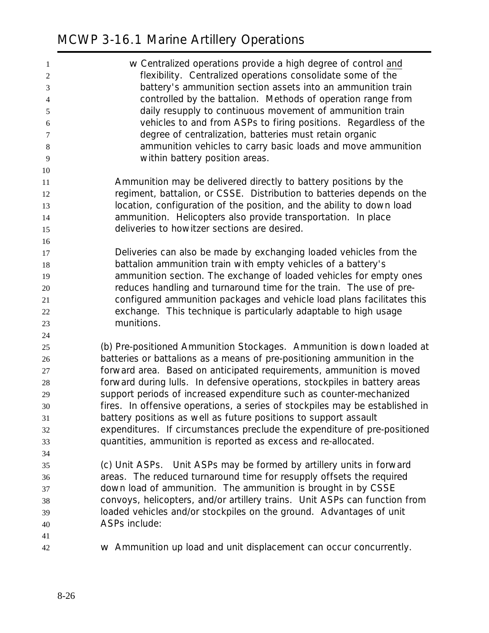| $\mathbf{1}$   | w Centralized operations provide a high degree of control and                                                 |
|----------------|---------------------------------------------------------------------------------------------------------------|
| $\overline{2}$ | flexibility. Centralized operations consolidate some of the                                                   |
| 3              | battery's ammunition section assets into an ammunition train                                                  |
| $\overline{4}$ | controlled by the battalion. Methods of operation range from                                                  |
| 5              | daily resupply to continuous movement of ammunition train                                                     |
| 6              | vehicles to and from ASPs to firing positions. Regardless of the                                              |
| 7              | degree of centralization, batteries must retain organic                                                       |
| 8              | ammunition vehicles to carry basic loads and move ammunition                                                  |
| 9              | within battery position areas.                                                                                |
| 10             |                                                                                                               |
| 11             | Ammunition may be delivered directly to battery positions by the                                              |
| 12             | regiment, battalion, or CSSE. Distribution to batteries depends on the                                        |
| 13             | location, configuration of the position, and the ability to down load                                         |
| 14             | ammunition. Helicopters also provide transportation. In place<br>deliveries to howitzer sections are desired. |
| 15             |                                                                                                               |
| 16             |                                                                                                               |
| 17             | Deliveries can also be made by exchanging loaded vehicles from the                                            |
| 18             | battalion ammunition train with empty vehicles of a battery's                                                 |
| 19             | ammunition section. The exchange of loaded vehicles for empty ones                                            |
| $20\,$         | reduces handling and turnaround time for the train. The use of pre-                                           |
| 21             | configured ammunition packages and vehicle load plans facilitates this                                        |
| 22             | exchange. This technique is particularly adaptable to high usage<br>munitions.                                |
| 23             |                                                                                                               |
| 24<br>25       | (b) Pre-positioned Ammunition Stockages. Ammunition is down loaded at                                         |
| 26             | batteries or battalions as a means of pre-positioning ammunition in the                                       |
| 27             | forward area. Based on anticipated requirements, ammunition is moved                                          |
| 28             | forward during lulls. In defensive operations, stockpiles in battery areas                                    |
| 29             | support periods of increased expenditure such as counter-mechanized                                           |
| 30             | fires. In offensive operations, a series of stockpiles may be established in                                  |
| 31             | battery positions as well as future positions to support assault                                              |
| 32             | expenditures. If circumstances preclude the expenditure of pre-positioned                                     |
| 33             | quantities, ammunition is reported as excess and re-allocated.                                                |
| 34             |                                                                                                               |
| 35             | (c) Unit ASPs. Unit ASPs may be formed by artillery units in forward                                          |
| 36             | areas. The reduced turnaround time for resupply offsets the required                                          |
| 37             | down load of ammunition. The ammunition is brought in by CSSE                                                 |
| 38             | convoys, helicopters, and/or artillery trains. Unit ASPs can function from                                    |
| 39             | loaded vehicles and/or stockpiles on the ground. Advantages of unit                                           |
| 40             | ASPs include:                                                                                                 |
| 41             |                                                                                                               |
| 42             | Ammunition up load and unit displacement can occur concurrently.<br>W                                         |
|                |                                                                                                               |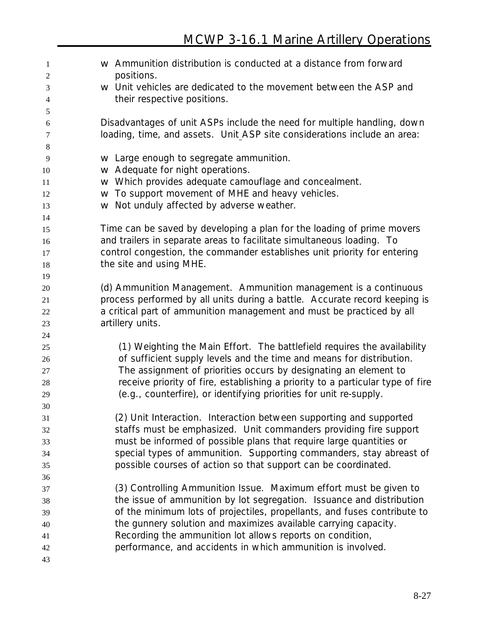| $\mathbf{1}$   | Ammunition distribution is conducted at a distance from forward<br>W<br>positions. |
|----------------|------------------------------------------------------------------------------------|
| 2              | Unit vehicles are dedicated to the movement between the ASP and                    |
| 3              | W<br>their respective positions.                                                   |
| $\overline{4}$ |                                                                                    |
| 5<br>6         | Disadvantages of unit ASPs include the need for multiple handling, down            |
| 7              | loading, time, and assets. Unit ASP site considerations include an area:           |
| 8              |                                                                                    |
| 9              | Large enough to segregate ammunition.<br>W                                         |
| 10             | Adequate for night operations.<br>W                                                |
| 11             | Which provides adequate camouflage and concealment.<br>W                           |
| 12             | To support movement of MHE and heavy vehicles.<br>W                                |
| 13             | Not unduly affected by adverse weather.                                            |
| 14             | W                                                                                  |
|                | Time can be saved by developing a plan for the loading of prime movers             |
| 15             | and trailers in separate areas to facilitate simultaneous loading. To              |
| 16             | control congestion, the commander establishes unit priority for entering           |
| 17             | the site and using MHE.                                                            |
| 18             |                                                                                    |
| 19             | (d) Ammunition Management. Ammunition management is a continuous                   |
| 20             |                                                                                    |
| 21             | process performed by all units during a battle. Accurate record keeping is         |
| 22             | a critical part of ammunition management and must be practiced by all              |
| 23             | artillery units.                                                                   |
| 24             |                                                                                    |
| 25             | (1) Weighting the Main Effort. The battlefield requires the availability           |
| 26             | of sufficient supply levels and the time and means for distribution.               |
| 27             | The assignment of priorities occurs by designating an element to                   |
| 28             | receive priority of fire, establishing a priority to a particular type of fire     |
| 29             | (e.g., counterfire), or identifying priorities for unit re-supply.                 |
| 30             |                                                                                    |
| 31             | (2) Unit Interaction. Interaction between supporting and supported                 |
| 32             | staffs must be emphasized. Unit commanders providing fire support                  |
| 33             | must be informed of possible plans that require large quantities or                |
| 34             | special types of ammunition. Supporting commanders, stay abreast of                |
| 35             | possible courses of action so that support can be coordinated.                     |
| 36             |                                                                                    |
| 37             | (3) Controlling Ammunition Issue. Maximum effort must be given to                  |
| 38             | the issue of ammunition by lot segregation. Issuance and distribution              |
| 39             | of the minimum lots of projectiles, propellants, and fuses contribute to           |
| 40             | the gunnery solution and maximizes available carrying capacity.                    |
| 41             | Recording the ammunition lot allows reports on condition,                          |
| 42             | performance, and accidents in which ammunition is involved.                        |
| 43             |                                                                                    |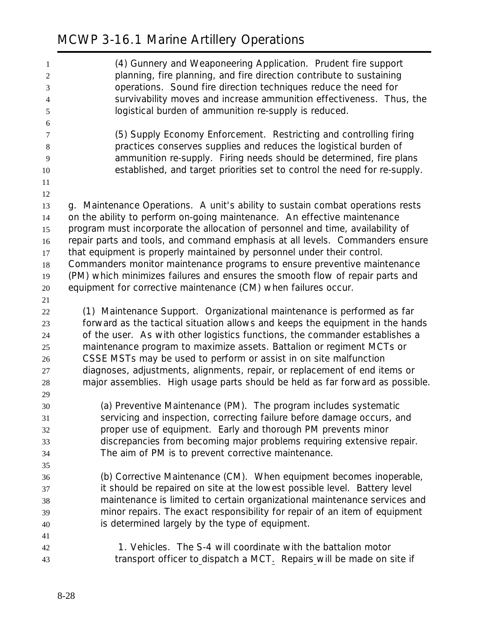**(4) Gunnery and Weaponeering Application**. Prudent fire support planning, fire planning, and fire direction contribute to sustaining operations. Sound fire direction techniques reduce the need for survivability moves and increase ammunition effectiveness. Thus, the logistical burden of ammunition re-supply is reduced. **(5) Supply Economy Enforcement**. Restricting and controlling firing practices conserves supplies and reduces the logistical burden of ammunition re-supply. Firing needs should be determined, fire plans established, and target priorities set to control the need for re-supply. **g. Maintenance Operations.** A unit's ability to sustain combat operations rests on the ability to perform on-going maintenance. An effective maintenance program must incorporate the allocation of personnel and time, availability of repair parts and tools, and command emphasis at all levels. Commanders ensure that equipment is properly maintained by personnel under their control. Commanders monitor maintenance programs to ensure preventive maintenance (PM) which minimizes failures and ensures the smooth flow of repair parts and equipment for corrective maintenance (CM) when failures occur. **(1) Maintenance Support.** Organizational maintenance is performed as far forward as the tactical situation allows and keeps the equipment in the hands of the user. As with other logistics functions, the commander establishes a maintenance program to maximize assets. Battalion or regiment MCTs or CSSE MSTs may be used to perform or assist in on site malfunction diagnoses, adjustments, alignments, repair, or replacement of end items or major assemblies. High usage parts should be held as far forward as possible. **(a) Preventive Maintenance (PM)**. The program includes systematic servicing and inspection, correcting failure before damage occurs, and proper use of equipment. Early and thorough PM prevents minor discrepancies from becoming major problems requiring extensive repair. The aim of PM is to prevent corrective maintenance. **(b) Corrective Maintenance (CM)**. When equipment becomes inoperable, it should be repaired on site at the lowest possible level. Battery level maintenance is limited to certain organizational maintenance services and minor repairs. The exact responsibility for repair of an item of equipment is determined largely by the type of equipment. **1. Vehicles**. The S-4 will coordinate with the battalion motor transport officer to dispatch a MCT. Repairs will be made on site if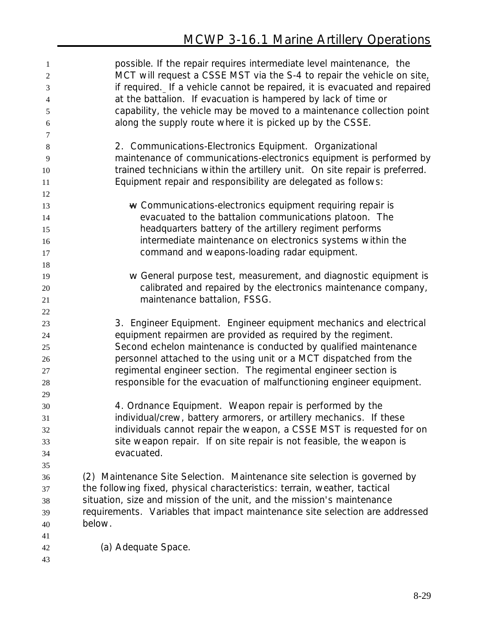possible. If the repair requires intermediate level maintenance, the MCT will request a CSSE MST via the S-4 to repair the vehicle on site, if required. If a vehicle cannot be repaired, it is evacuated and repaired at the battalion. If evacuation is hampered by lack of time or capability, the vehicle may be moved to a maintenance collection point along the supply route where it is picked up by the CSSE. **2. Communications-Electronics Equipment**. Organizational maintenance of communications-electronics equipment is performed by 10 trained technicians within the artillery unit. On site repair is preferred. Equipment repair and responsibility are delegated as follows: **w** Communications-electronics equipment requiring repair is evacuated to the battalion communications platoon. The headquarters battery of the artillery regiment performs intermediate maintenance on electronics systems within the command and weapons-loading radar equipment. w General purpose test, measurement, and diagnostic equipment is calibrated and repaired by the electronics maintenance company, maintenance battalion, FSSG. **3. Engineer Equipment**. Engineer equipment mechanics and electrical equipment repairmen are provided as required by the regiment. Second echelon maintenance is conducted by qualified maintenance personnel attached to the using unit or a MCT dispatched from the regimental engineer section. The regimental engineer section is responsible for the evacuation of malfunctioning engineer equipment. **4. Ordnance Equipment**. Weapon repair is performed by the individual/crew, battery armorers, or artillery mechanics. If these individuals cannot repair the weapon, a CSSE MST is requested for on site weapon repair. If on site repair is not feasible, the weapon is evacuated. **(2) Maintenance Site Selection.** Maintenance site selection is governed by the following fixed, physical characteristics: terrain, weather, tactical situation, size and mission of the unit, and the mission's maintenance requirements. Variables that impact maintenance site selection are addressed below. **(a) Adequate Space**. 

8-29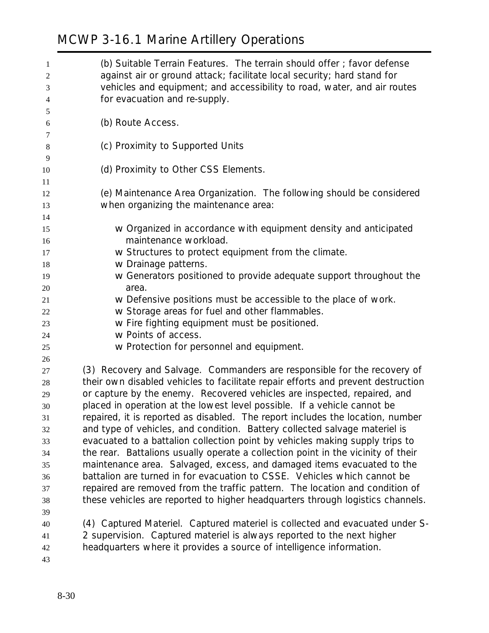| 1              | (b) Suitable Terrain Features. The terrain should offer; favor defense           |
|----------------|----------------------------------------------------------------------------------|
| 2              | against air or ground attack; facilitate local security; hard stand for          |
| 3              | vehicles and equipment; and accessibility to road, water, and air routes         |
| $\overline{4}$ | for evacuation and re-supply.                                                    |
| 5              |                                                                                  |
| 6              | (b) Route Access.                                                                |
| 7              |                                                                                  |
| 8              | (c) Proximity to Supported Units                                                 |
| 9              |                                                                                  |
| 10             | (d) Proximity to Other CSS Elements.                                             |
| 11             |                                                                                  |
| 12             | (e) Maintenance Area Organization. The following should be considered            |
| 13             | when organizing the maintenance area:                                            |
| 14             |                                                                                  |
| 15             | w Organized in accordance with equipment density and anticipated                 |
| 16             | maintenance workload.                                                            |
| 17             | w Structures to protect equipment from the climate.                              |
| 18             | w Drainage patterns.                                                             |
| 19             | w Generators positioned to provide adequate support throughout the               |
| 20             | area.                                                                            |
| 21             | w Defensive positions must be accessible to the place of work.                   |
| 22             | w Storage areas for fuel and other flammables.                                   |
| 23             | w Fire fighting equipment must be positioned.<br>w Points of access.             |
| 24             |                                                                                  |
| 25             | w Protection for personnel and equipment.                                        |
| 26<br>27       | (3) Recovery and Salvage. Commanders are responsible for the recovery of         |
| 28             | their own disabled vehicles to facilitate repair efforts and prevent destruction |
| 29             | or capture by the enemy. Recovered vehicles are inspected, repaired, and         |
| 30             | placed in operation at the lowest level possible. If a vehicle cannot be         |
| 31             | repaired, it is reported as disabled. The report includes the location, number   |
| 32             | and type of vehicles, and condition. Battery collected salvage materiel is       |
| 33             | evacuated to a battalion collection point by vehicles making supply trips to     |
| 34             | the rear. Battalions usually operate a collection point in the vicinity of their |
| 35             | maintenance area. Salvaged, excess, and damaged items evacuated to the           |
| 36             | battalion are turned in for evacuation to CSSE. Vehicles which cannot be         |
| 37             | repaired are removed from the traffic pattern. The location and condition of     |
| 38             | these vehicles are reported to higher headquarters through logistics channels.   |
| 39             |                                                                                  |
| 40             | (4) Captured Materiel. Captured materiel is collected and evacuated under S-     |
| 41             | 2 supervision. Captured materiel is always reported to the next higher           |
| 42             | headquarters where it provides a source of intelligence information.             |
| 43             |                                                                                  |